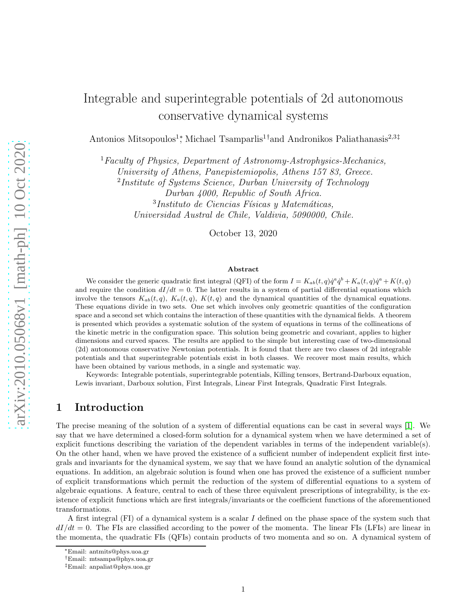# Integrable and superintegrable potentials of 2d autonomous conservative dynamical systems

Antonios Mitsopoulos<sup>1</sup><sup>\*</sup>, Michael Tsamparlis<sup>1†</sup>and Andronikos Paliathanasis<sup>2,3‡</sup>

 ${}^{1}$  Faculty of Physics, Department of Astronomy-Astrophysics-Mechanics,

University of Athens, Panepistemiopolis, Athens 157 83, Greece.

<sup>2</sup>Institute of Systems Science, Durban University of Technology Durban 4000, Republic of South Africa.

 $3$ Instituto de Ciencias Físicas y Matemáticas, Universidad Austral de Chile, Valdivia, 5090000, Chile.

October 13, 2020

#### Abstract

We consider the generic quadratic first integral (QFI) of the form  $I = K_{ab}(t, q)\dot{q}^a \dot{q}^b + K_a(t, q)\dot{q}^a + K(t, q)$ and require the condition  $dI/dt = 0$ . The latter results in a system of partial differential equations which involve the tensors  $K_{ab}(t, q)$ ,  $K_a(t, q)$ ,  $K(t, q)$  and the dynamical quantities of the dynamical equations. These equations divide in two sets. One set which involves only geometric quantities of the configuration space and a second set which contains the interaction of these quantities with the dynamical fields. A theorem is presented which provides a systematic solution of the system of equations in terms of the collineations of the kinetic metric in the configuration space. This solution being geometric and covariant, applies to higher dimensions and curved spaces. The results are applied to the simple but interesting case of two-dimensional (2d) autonomous conservative Newtonian potentials. It is found that there are two classes of 2d integrable potentials and that superintegrable potentials exist in both classes. We recover most main results, which have been obtained by various methods, in a single and systematic way.

Keywords: Integrable potentials, superintegrable potentials, Killing tensors, Bertrand-Darboux equation, Lewis invariant, Darboux solution, First Integrals, Linear First Integrals, Quadratic First Integrals.

# 1 Introduction

The precise meaning of the solution of a system of differential equations can be cast in several ways [\[1\]](#page-18-0). We say that we have determined a closed-form solution for a dynamical system when we have determined a set of explicit functions describing the variation of the dependent variables in terms of the independent variable(s). On the other hand, when we have proved the existence of a sufficient number of independent explicit first integrals and invariants for the dynamical system, we say that we have found an analytic solution of the dynamical equations. In addition, an algebraic solution is found when one has proved the existence of a sufficient number of explicit transformations which permit the reduction of the system of differential equations to a system of algebraic equations. A feature, central to each of these three equivalent prescriptions of integrability, is the existence of explicit functions which are first integrals/invariants or the coefficient functions of the aforementioned transformations.

A first integral (FI) of a dynamical system is a scalar I defined on the phase space of the system such that  $dI/dt = 0$ . The FIs are classified according to the power of the momenta. The linear FIs (LFIs) are linear in the momenta, the quadratic FIs (QFIs) contain products of two momenta and so on. A dynamical system of

<sup>∗</sup>Email: antmits@phys.uoa.gr

<sup>†</sup>Email: mtsampa@phys.uoa.gr

<sup>‡</sup>Email: anpaliat@phys.uoa.gr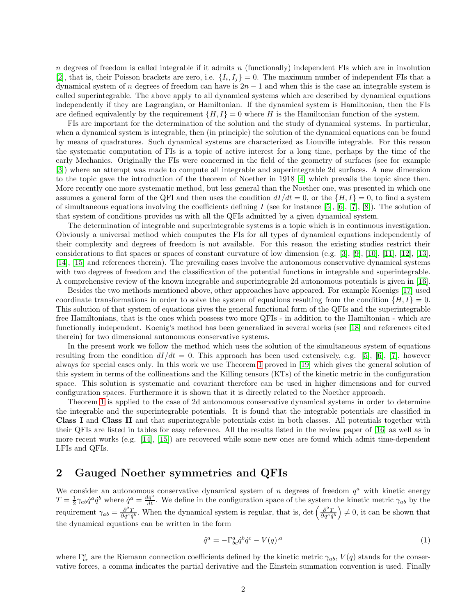n degrees of freedom is called integrable if it admits n (functionally) independent FIs which are in involution [2], that is, their Poisson brackets are zero, i.e.  $\{I_i, I_j\} = 0$ . The maximum number of independent FIs that a dynamical system of n degrees of freedom can have is  $2n - 1$  and when this is the case an integrable system is called superintegrable. The above apply to all dynamical systems which are described by dynamical equations independently if they are Lagrangian, or Hamiltonian. If the dynamical system is Hamiltonian, then the FIs are defined equivalently by the requirement  $\{H, I\} = 0$  where H is the Hamiltonian function of the system.

FIs are important for the determination of the solution and the study of dynamical systems. In particular, when a dynamical system is integrable, then (in principle) the solution of the dynamical equations can be found by means of quadratures. Such dynamical systems are characterized as Liouville integrable. For this reason the systematic computation of FIs is a topic of active interest for a long time, perhaps by the time of the early Mechanics. Originally the FIs were concerned in the field of the geometry of surfaces (see for example [3]) where an attempt was made to compute all integrable and superintegrable 2d surfaces. A new dimension to the topic gave the introduction of the theorem of Noether in 1918 [4] which prevails the topic since then. More recently one more systematic method, but less general than the Noether one, was presented in which one assumes a general form of the QFI and then uses the condition  $dI/dt = 0$ , or the  $\{H, I\} = 0$ , to find a system of simultaneous equations involving the coefficients defining I (see for instance  $[5]$ ,  $[6]$ ,  $[7]$ ,  $[8]$ ). The solution of that system of conditions provides us with all the QFIs admitted by a given dynamical system.

The determination of integrable and superintegrable systems is a topic which is in continuous investigation. Obviously a universal method which computes the FIs for all types of dynamical equations independently of their complexity and degrees of freedom is not available. For this reason the existing studies restrict their considerations to flat spaces or spaces of constant curvature of low dimension (e.g. [3], [9], [10], [11], [\[12\]](#page-19-2), [\[13\]](#page-19-3), [14], [15] and references therein). The prevailing cases involve the autonomous conservative dynamical systems with two degrees of freedom and the classification of the potential functions in integrable and superintegrable. A comprehensive review of the known integrable and superintegrable 2d autonomous potentials is given in [16].

Besides the two methods mentioned above, other approaches have appeared. For example Koenigs [\[17\]](#page-19-4) used coordinate transformations in order to solve the system of equations resulting from the condition  $\{H, I\} = 0$ . This solution of that system of equations gives the general functional form of the QFIs and the superintegrable free Hamiltonians, that is the ones which possess two more QFIs - in addition to the Hamiltonian - which are functionally independent. Koenig's method has been generalized in several works (see [18] and references cited therein) for two dimensional autonomous conservative systems.

In the present work we follow the method which uses the solution of the simultaneous system of equations resulting from the condition  $dI/dt = 0$ . This approach has been used extensively, e.g. [5], [6], [\[7\]](#page-19-0), however always for special cases only. In this work we use Theorem [1](#page-4-0) proved in [\[19\]](#page-19-5) which gives the general solution of this system in terms of the collineations and the Killing tensors (KTs) of the kinetic metric in the configuration space. This solution is systematic and covariant therefore can be used in higher dimensions and for curved configuration spaces. Furthermore it is shown that it is directly related to the Noether approach.

Theorem [1](#page-4-0) is applied to the case of 2d autonomous conservative dynamical systems in order to determine the integrable and the superintegrable potentials. It is found that the integrable potentials are classified in Class I and Class II and that superintegrable potentials exist in both classes. All potentials together with their QFIs are listed in tables for easy reference. All the results listed in the review paper of [16] as well as in more recent works (e.g. [14], [15]) are recovered while some new ones are found which admit time-dependent LFIs and QFIs.

### 2 Gauged Noether symmetries and QFIs

We consider an autonomous conservative dynamical system of  $n$  degrees of freedom  $q<sup>a</sup>$  with kinetic energy  $T = \frac{1}{2}\gamma_{ab}\dot{q}^a\dot{q}^b$  where  $\dot{q}^a = \frac{dq^a}{dt}$ . We define in the configuration space of the system the kinetic metric  $\gamma_{ab}$  by the requirement  $\gamma_{ab} = \frac{\partial^2 T}{\partial \dot{q}^a \dot{q}^b}$ . When the dynamical system is regular, that is, det  $\left(\frac{\partial^2 T}{\partial \dot{q}^a \dot{q}^b}\right) \neq 0$ , it can be shown that the dynamical equations can be written in the form

<span id="page-1-0"></span>
$$
\ddot{q}^a = -\Gamma^a_{bc}\dot{q}^b\dot{q}^c - V(q)^a \tag{1}
$$

where  $\Gamma^a_{bc}$  are the Riemann connection coefficients defined by the kinetic metric  $\gamma_{ab}$ ,  $V(q)$  stands for the conservative forces, a comma indicates the partial derivative and the Einstein summation convention is used. Finally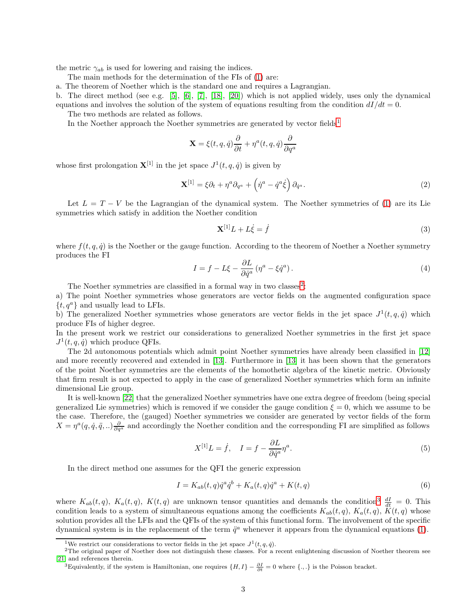the metric  $\gamma_{ab}$  is used for lowering and raising the indices.

The main methods for the determination of the FIs of [\(1\)](#page-1-0) are:

a. The theorem of Noether which is the standard one and requires a Lagrangian.

b. The direct method (see e.g. [5], [6], [\[7\]](#page-19-0), [18], [20]) which is not applied widely, uses only the dynamical equations and involves the solution of the system of equations resulting from the condition  $dI/dt = 0$ .

The two methods are related as follows.

In the Noether approach the Noether symmetries are generated by vector fields<sup>[1](#page-2-0)</sup>

$$
\mathbf{X} = \xi(t, q, \dot{q}) \frac{\partial}{\partial t} + \eta^a(t, q, \dot{q}) \frac{\partial}{\partial q^a}
$$

whose first prolongation  $\mathbf{X}^{[1]}$  in the jet space  $J^1(t, q, \dot{q})$  is given by

$$
\mathbf{X}^{[1]} = \xi \partial_t + \eta^a \partial_{q^a} + \left(\dot{\eta}^a - \dot{q}^a \dot{\xi}\right) \partial_{\dot{q}^a}.
$$
 (2)

Let  $L = T - V$  be the Lagrangian of the dynamical system. The Noether symmetries of [\(1\)](#page-1-0) are its Lie symmetries which satisfy in addition the Noether condition

$$
\mathbf{X}^{[1]}L + L\dot{\xi} = \dot{f} \tag{3}
$$

where  $f(t, q, \dot{q})$  is the Noether or the gauge function. According to the theorem of Noether a Noether symmetry produces the FI

<span id="page-2-3"></span>
$$
I = f - L\xi - \frac{\partial L}{\partial \dot{q}^a} (\eta^a - \xi \dot{q}^a).
$$
 (4)

The Noether symmetries are classified in a formal way in two classes<sup>[2](#page-2-1)</sup>:

a) The point Noether symmetries whose generators are vector fields on the augmented configuration space  $\{t, q^a\}$  and usually lead to LFIs.

b) The generalized Noether symmetries whose generators are vector fields in the jet space  $J^1(t, q, \dot{q})$  which produce FIs of higher degree.

In the present work we restrict our considerations to generalized Noether symmetries in the first jet space  $J^1(t, q, \dot{q})$  which produce QFIs.

The 2d autonomous potentials which admit point Noether symmetries have already been classified in [\[12\]](#page-19-2) and more recently recovered and extended in [\[13\]](#page-19-3). Furthermore in [\[13\]](#page-19-3) it has been shown that the generators of the point Noether symmetries are the elements of the homothetic algebra of the kinetic metric. Obviously that firm result is not expected to apply in the case of generalized Noether symmetries which form an infinite dimensional Lie group.

It is well-known [22] that the generalized Noether symmetries have one extra degree of freedom (being special generalized Lie symmetries) which is removed if we consider the gauge condition  $\xi = 0$ , which we assume to be the case. Therefore, the (gauged) Noether symmetries we consider are generated by vector fields of the form  $X = \eta^a(q, \dot{q}, \ddot{q}, \ldots) \frac{\partial}{\partial q^a}$  and accordingly the Noether condition and the corresponding FI are simplified as follows

$$
X^{[1]}L = \dot{f}, \quad I = f - \frac{\partial L}{\partial \dot{q}^a} \eta^a. \tag{5}
$$

In the direct method one assumes for the QFI the generic expression

<span id="page-2-4"></span>
$$
I = K_{ab}(t,q)\dot{q}^a\dot{q}^b + K_a(t,q)\dot{q}^a + K(t,q)
$$
\n
$$
(6)
$$

where  $K_{ab}(t,q)$ ,  $K_a(t,q)$ ,  $K(t,q)$  are unknown tensor quantities and demands the condition<sup>[3](#page-2-2)</sup>  $\frac{dI}{dt} = 0$ . This condition leads to a system of simultaneous equations among the coefficients  $K_{ab}(t, q)$ ,  $K_a(t, q)$ ,  $\tilde{K}(t, q)$  whose solution provides all the LFIs and the QFIs of the system of this functional form. The involvement of the specific dynamical system is in the replacement of the term  $\ddot{q}^a$  whenever it appears from the dynamical equations [\(1\)](#page-1-0).

<span id="page-2-0"></span><sup>&</sup>lt;sup>1</sup>We restrict our considerations to vector fields in the jet space  $J^1(t, q, \dot{q})$ .

<sup>2</sup>The original paper of Noether does not distinguish these classes. For a recent enlightening discussion of Noether theorem see [21] and references therein.

<span id="page-2-2"></span><span id="page-2-1"></span><sup>&</sup>lt;sup>3</sup>Equivalently, if the system is Hamiltonian, one requires  $\{H, I\} - \frac{\partial I}{\partial t} = 0$  where  $\{.,.\}$  is the Poisson bracket.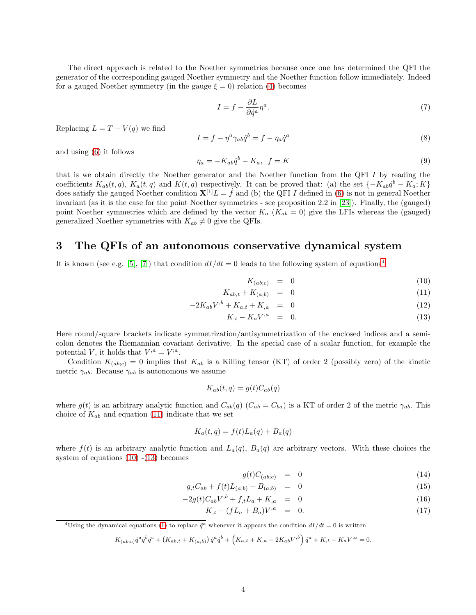The direct approach is related to the Noether symmetries because once one has determined the QFI the generator of the corresponding gauged Noether symmetry and the Noether function follow immediately. Indeed for a gauged Noether symmetry (in the gauge  $\xi = 0$ ) relation [\(4\)](#page-2-3) becomes

$$
I = f - \frac{\partial L}{\partial \dot{q}^a} \eta^a. \tag{7}
$$

Replacing  $L = T - V(q)$  we find

$$
I = f - \eta^a \gamma_{ab} \dot{q}^b = f - \eta_a \dot{q}^a \tag{8}
$$

and using [\(6\)](#page-2-4) it follows

$$
\eta_a = -K_{ab}\dot{q}^b - K_a, \quad f = K \tag{9}
$$

that is we obtain directly the Noether generator and the Noether function from the QFI I by reading the coefficients  $K_{ab}(t, q)$ ,  $K_a(t, q)$  and  $K(t, q)$  respectively. It can be proved that: (a) the set  $\{-K_{ab}q^b - K_a; K\}$ does satisfy the gauged Noether condition  $X^{[1]}L = f$  and (b) the QFI I defined in [\(6\)](#page-2-4) is not in general Noether invariant (as it is the case for the point Noether symmetries - see proposition 2.2 in [23]). Finally, the (gauged) point Noether symmetries which are defined by the vector  $K_a$  ( $K_{ab} = 0$ ) give the LFIs whereas the (gauged) generalized Noether symmetries with  $K_{ab} \neq 0$  give the QFIs.

### 3 The QFIs of an autonomous conservative dynamical system

It is known (see e.g. [5], [\[7\]](#page-19-0)) that condition  $dI/dt = 0$  leads to the following system of equations<sup>[4](#page-3-0)</sup>

<span id="page-3-1"></span>
$$
K_{(ab;c)} = 0 \tag{10}
$$

$$
K_{ab,t} + K_{(a;b)} = 0 \tag{11}
$$

$$
-2K_{ab}V^{b} + K_{a,t} + K_{,a} = 0 \tag{12}
$$

$$
K_{,t} - K_a V^{,a} = 0. \t\t(13)
$$

Here round/square brackets indicate symmetrization/antisymmetrization of the enclosed indices and a semicolon denotes the Riemannian covariant derivative. In the special case of a scalar function, for example the potential V, it holds that  $V^{,a} = V^{,a}$ .

Condition  $K_{(ab;c)} = 0$  implies that  $K_{ab}$  is a Killing tensor (KT) of order 2 (possibly zero) of the kinetic metric  $\gamma_{ab}$ . Because  $\gamma_{ab}$  is autonomous we assume

$$
K_{ab}(t,q) = g(t)C_{ab}(q)
$$

where  $g(t)$  is an arbitrary analytic function and  $C_{ab}(q)$  ( $C_{ab} = C_{ba}$ ) is a KT of order 2 of the metric  $\gamma_{ab}$ . This choice of  $K_{ab}$  and equation [\(11\)](#page-3-1) indicate that we set

$$
K_a(t,q) = f(t)L_a(q) + B_a(q)
$$

where  $f(t)$  is an arbitrary analytic function and  $L_a(q)$ ,  $B_a(q)$  are arbitrary vectors. With these choices the system of equations  $(10)$  - $(13)$  becomes

<span id="page-3-2"></span>
$$
g(t)C_{(ab;c)} = 0 \tag{14}
$$

$$
g_{,t}C_{ab} + f(t)L_{(a;b)} + B_{(a;b)} = 0 \tag{15}
$$

$$
-2g(t)C_{ab}V^{b} + f_{,t}L_{a} + K_{,a} = 0 \tag{16}
$$

$$
K_{,t} - (fL_a + B_a)V^{,a} = 0. \t\t(17)
$$

<span id="page-3-0"></span><sup>4</sup>Using the dynamical equations [\(1\)](#page-1-0) to replace  $\ddot{q}^a$  whenever it appears the condition  $dI/dt = 0$  is written

$$
K_{(ab;c)}\dot{q}^a\dot{q}^b\dot{q}^c + \left(K_{ab,t} + K_{(a;b)}\right)\dot{q}^a\dot{q}^b + \left(K_{a,t} + K_{,a} - 2K_{ab}V^{,b}\right)\dot{q}^a + K_{,t} - K_aV^{,a} = 0.
$$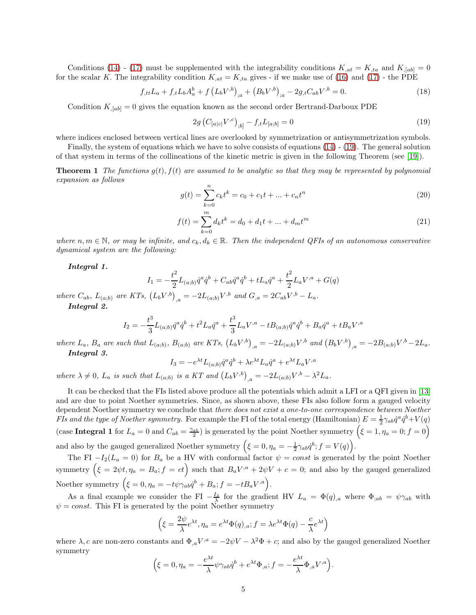Conditions [\(14\)](#page-3-2) - [\(17\)](#page-3-2) must be supplemented with the integrability conditions  $K_{,at} = K_{,ta}$  and  $K_{,[ab]} = 0$ for the scalar K. The integrability condition  $K_{,at} = K_{,ta}$  gives - if we make use of [\(16\)](#page-3-2) and [\(17\)](#page-3-2) - the PDE

$$
f_{,tt}L_a + f_{,t}L_bA_a^b + f\left(L_bV^{,b}\right)_{;a} + \left(B_bV^{,b}\right)_{;a} - 2g_{,t}C_{ab}V^{,b} = 0. \tag{18}
$$

Condition  $K_{,[ab]} = 0$  gives the equation known as the second order Bertrand-Darboux PDE

<span id="page-4-1"></span>
$$
2g\left(C_{[a|c|}V^{,c}\right)_{;b]} - f_{,t}L_{[a;b]} = 0\tag{19}
$$

where indices enclosed between vertical lines are overlooked by symmetrization or antisymmetrization symbols.

<span id="page-4-0"></span>Finally, the system of equations which we have to solve consists of equations [\(14\)](#page-3-2) - [\(19\)](#page-4-1). The general solution of that system in terms of the collineations of the kinetic metric is given in the following Theorem (see [\[19\]](#page-19-5)).

**Theorem 1** The functions  $g(t)$ ,  $f(t)$  are assumed to be analytic so that they may be represented by polynomial expansion as follows

$$
g(t) = \sum_{k=0}^{n} c_k t^k = c_0 + c_1 t + \dots + c_n t^n
$$
\n(20)

$$
f(t) = \sum_{k=0}^{m} d_k t^k = d_0 + d_1 t + \dots + d_m t^m
$$
\n(21)

where  $n, m \in \mathbb{N}$ , or may be infinite, and  $c_k, d_k \in \mathbb{R}$ . Then the independent QFIs of an autonomous conservative dynamical system are the following:

Integral 1.

$$
I_1 = -\frac{t^2}{2}L_{(a;b)}\dot{q}^a\dot{q}^b + C_{ab}\dot{q}^a\dot{q}^b + tL_a\dot{q}^a + \frac{t^2}{2}L_aV^{,a} + G(q)
$$

where  $C_{ab}$ ,  $L_{(a;b)}$  are KTs,  $(L_b V^{,b})_{,a} = -2L_{(a;b)}V^{,b}$  and  $G_{,a} = 2C_{ab}V^{,b} - L_a$ . Integral 2.

$$
I_2 = -\frac{t^3}{3}L_{(a;b)}\dot{q}^a\dot{q}^b + t^2L_a\dot{q}^a + \frac{t^3}{3}L_aV^{,a} - tB_{(a;b)}\dot{q}^a\dot{q}^b + B_a\dot{q}^a + tB_aV^{,a}
$$

where  $L_a$ ,  $B_a$  are such that  $L_{(a;b)}$ ,  $B_{(a;b)}$  are KTs,  $(L_b V^{,b})_{,a} = -2L_{(a;b)} V^{,b}$  and  $(B_b V^{,b})_{,a} = -2B_{(a;b)} V^{,b} - 2L_a$ . Integral 3.

$$
I_3 = -e^{\lambda t} L_{(a;b)} \dot{q}^a \dot{q}^b + \lambda e^{\lambda t} L_a \dot{q}^a + e^{\lambda t} L_a V^{,a}
$$

where  $\lambda \neq 0$ ,  $L_a$  is such that  $L_{(a;b)}$  is a KT and  $(L_b V^{b})_{,a} = -2L_{(a;b)}V^{b} - \lambda^2 L_a$ .

It can be checked that the FIs listed above produce all the potentials which admit a LFI or a QFI given in [\[13\]](#page-19-3) and are due to point Noether symmetries. Since, as shown above, these FIs also follow form a gauged velocity dependent Noether symmetry we conclude that there does not exist a one-to-one correspondence between Noether *FIs and the type of Noether symmetry.* For example the FI of the total energy (Hamiltonian)  $E = \frac{1}{2} \gamma_{ab} \dot{q}^a \dot{q}^b + V(q)$ (case Integral 1 for  $L_a = 0$  and  $C_{ab} = \frac{\gamma_{ab}}{2}$ ) is generated by the point Noether symmetry  $(\xi = 1, \eta_a = 0; f = 0)$ and also by the gauged generalized Noether symmetry  $(\xi = 0, \eta_a = -\frac{1}{2}\gamma_{ab} \dot{q}^b; f = V(q)).$ 

The FI  $-I_2(L_a = 0)$  for  $B_a$  be a HV with conformal factor  $\psi = const$  is generated by the point Noether symmetry  $(\xi = 2\psi t, \eta_a = B_a; f = ct)$  such that  $B_a V^{,a} + 2\psi V + c = 0$ ; and also by the gauged generalized Noether symmetry  $(\xi = 0, \eta_a = -t\psi\gamma_{ab}q^b + B_a; f = -tB_aV^{,a}$ .

As a final example we consider the FI  $-\frac{I_3}{\lambda}$  for the gradient HV  $L_a = \Phi(q)_{,a}$  where  $\Phi_{;ab} = \psi \gamma_{ab}$  with  $\psi = const.$  This FI is generated by the point Noether symmetry

$$
\left(\xi = \frac{2\psi}{\lambda}e^{\lambda t}, \eta_a = e^{\lambda t}\Phi(q), a; f = \lambda e^{\lambda t}\Phi(q) - \frac{c}{\lambda}e^{\lambda t}\right)
$$

where  $\lambda$ , c are non-zero constants and  $\Phi_{,a}V^{,a} = -2\psi V - \lambda^2 \Phi + c$ ; and also by the gauged generalized Noether symmetry

$$
\left(\xi = 0, \eta_a = -\frac{e^{\lambda t}}{\lambda} \psi \gamma_{ab} \dot{q}^b + e^{\lambda t} \Phi_{,a}; f = -\frac{e^{\lambda t}}{\lambda} \Phi_{,a} V^{,a}\right)
$$

.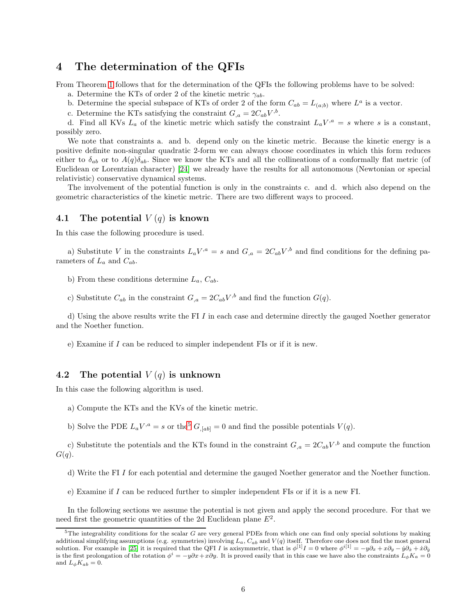### 4 The determination of the QFIs

From Theorem [1](#page-4-0) follows that for the determination of the QFIs the following problems have to be solved:

a. Determine the KTs of order 2 of the kinetic metric  $\gamma_{ab}$ .

b. Determine the special subspace of KTs of order 2 of the form  $C_{ab} = L_{(a;b)}$  where  $L^a$  is a vector.

c. Determine the KTs satisfying the constraint  $G_{,a} = 2C_{ab}V^{,b}$ .

d. Find all KVs  $L_a$  of the kinetic metric which satisfy the constraint  $L_a V^a = s$  where s is a constant, possibly zero.

We note that constraints a. and b. depend only on the kinetic metric. Because the kinetic energy is a positive definite non-singular quadratic 2-form we can always choose coordinates in which this form reduces either to  $\delta_{ab}$  or to  $A(q)\delta_{ab}$ . Since we know the KTs and all the collineations of a conformally flat metric (of Euclidean or Lorentzian character) [24] we already have the results for all autonomous (Newtonian or special relativistic) conservative dynamical systems.

The involvement of the potential function is only in the constraints c. and d. which also depend on the geometric characteristics of the kinetic metric. There are two different ways to proceed.

### 4.1 The potential  $V(q)$  is known

In this case the following procedure is used.

a) Substitute V in the constraints  $L_a V^{a} = s$  and  $G_{a} = 2C_{ab}V^{b}$  and find conditions for the defining parameters of  $L_a$  and  $C_{ab}$ .

b) From these conditions determine  $L_a$ ,  $C_{ab}$ .

c) Substitute  $C_{ab}$  in the constraint  $G_{,a} = 2C_{ab}V^{,b}$  and find the function  $G(q)$ .

d) Using the above results write the FI I in each case and determine directly the gauged Noether generator and the Noether function.

e) Examine if I can be reduced to simpler independent FIs or if it is new.

### 4.2 The potential  $V(q)$  is unknown

In this case the following algorithm is used.

- a) Compute the KTs and the KVs of the kinetic metric.
- b) Solve the PDE  $L_a V^{,a} = s$  or the<sup>[5](#page-5-0)</sup>  $G_{,[ab]} = 0$  and find the possible potentials  $V(q)$ .

c) Substitute the potentials and the KTs found in the constraint  $G_{,a} = 2C_{ab}V^{,b}$  and compute the function  $G(q).$ 

- d) Write the FI I for each potential and determine the gauged Noether generator and the Noether function.
- e) Examine if I can be reduced further to simpler independent FIs or if it is a new FI.

In the following sections we assume the potential is not given and apply the second procedure. For that we need first the geometric quantities of the 2d Euclidean plane  $E^2$ .

<span id="page-5-0"></span> $5$ The integrability conditions for the scalar G are very general PDEs from which one can find only special solutions by making additional simplifying assumptions (e.g. symmetries) involving  $L_a$ ,  $C_{ab}$  and  $V(q)$  itself. Therefore one does not find the most general solution. For example in [25] it is required that the QFI I is axisymmetric, that is  $\phi^{[1]}I = 0$  where  $\phi^{i[1]} = -y\partial_x + x\partial_y - y\partial_x + x\partial_y$ is the first prolongation of the rotation  $\phi^i = -y\partial x + x\partial y$ . It is proved easily that in this case we have also the constraints  $L_{\phi}K_a = 0$ and  $L_{\phi}K_{ab}=0$ .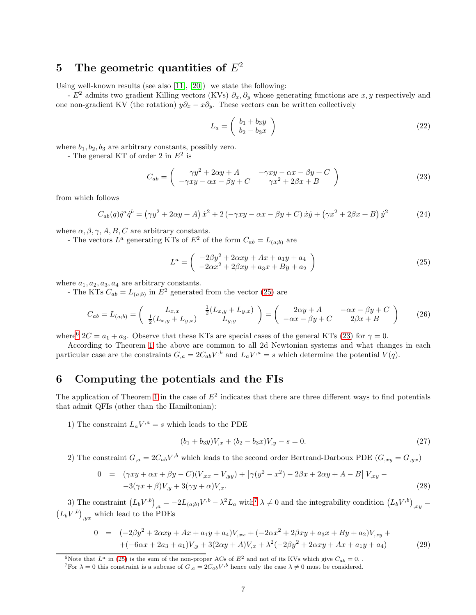# 5 The geometric quantities of  $E^2$

Using well-known results (see also [11], [20]) we state the following:

-  $E^2$  admits two gradient Killing vectors (KVs)  $\partial_x, \partial_y$  whose generating functions are x, y respectively and one non-gradient KV (the rotation)  $y\partial_x - x\partial_y$ . These vectors can be written collectively

$$
L_a = \left(\begin{array}{c} b_1 + b_3 y \\ b_2 - b_3 x \end{array}\right) \tag{22}
$$

where  $b_1, b_2, b_3$  are arbitrary constants, possibly zero.

- The general KT of order 2 in  $E^2$  is

<span id="page-6-2"></span>
$$
C_{ab} = \begin{pmatrix} \gamma y^2 + 2\alpha y + A & -\gamma xy - \alpha x - \beta y + C \\ -\gamma xy - \alpha x - \beta y + C & \gamma x^2 + 2\beta x + B \end{pmatrix}
$$
(23)

from which follows

$$
C_{ab}(q)\dot{q}^a\dot{q}^b = (\gamma y^2 + 2\alpha y + A)\dot{x}^2 + 2(-\gamma xy - \alpha x - \beta y + C)\dot{x}\dot{y} + (\gamma x^2 + 2\beta x + B)\dot{y}^2
$$
(24)

where  $\alpha, \beta, \gamma, A, B, C$  are arbitrary constants.

- The vectors  $L^a$  generating KTs of  $E^2$  of the form  $C_{ab} = L_{(a,b)}$  are

<span id="page-6-0"></span>
$$
L^{a} = \begin{pmatrix} -2\beta y^{2} + 2\alpha xy + Ax + a_{1}y + a_{4} \\ -2\alpha x^{2} + 2\beta xy + a_{3}x + By + a_{2} \end{pmatrix}
$$
 (25)

where  $a_1, a_2, a_3, a_4$  are arbitrary constants.

- The KTs  $C_{ab} = L_{(a;b)}$  in  $E^2$  generated from the vector [\(25\)](#page-6-0) are

$$
C_{ab} = L_{(a;b)} = \begin{pmatrix} L_{x,x} & \frac{1}{2}(L_{x,y} + L_{y,x}) \\ \frac{1}{2}(L_{x,y} + L_{y,x}) & L_{y,y} \end{pmatrix} = \begin{pmatrix} 2\alpha y + A & -\alpha x - \beta y + C \\ -\alpha x - \beta y + C & 2\beta x + B \end{pmatrix}
$$
(26)

where<sup>[6](#page-6-1)</sup>  $2C = a_1 + a_3$ . Observe that these KTs are special cases of the general KTs [\(23\)](#page-6-2) for  $\gamma = 0$ .

According to Theorem [1](#page-4-0) the above are common to all 2d Newtonian systems and what changes in each particular case are the constraints  $G_{,a} = 2C_{ab}V^{,b}$  and  $L_aV^{,a} = s$  which determine the potential  $V(q)$ .

## <span id="page-6-7"></span>6 Computing the potentials and the FIs

The application of Theorem [1](#page-4-0) in the case of  $E^2$  indicates that there are three different ways to find potentials that admit QFIs (other than the Hamiltonian):

1) The constraint  $L_a V^{a} = s$  which leads to the PDE

<span id="page-6-6"></span>
$$
(b_1 + b_3y)V_{,x} + (b_2 - b_3x)V_{,y} - s = 0.
$$
\n(27)

2) The constraint  $G_{,a} = 2C_{ab}V^{,b}$  which leads to the second order Bertrand-Darboux PDE  $(G_{,xy} = G_{,yx})$ 

<span id="page-6-4"></span>
$$
0 = (\gamma xy + \alpha x + \beta y - C)(V_{,xx} - V_{,yy}) + [\gamma(y^2 - x^2) - 2\beta x + 2\alpha y + A - B]V_{,xy} --3(\gamma x + \beta)V_{,y} + 3(\gamma y + \alpha)V_{,x}.
$$
\n(28)

3) The constraint  $(L_b V^{,b})_{,a} = -2L_{(a;b)}V^{,b} - \lambda^2 L_a$  with  $\lambda \neq 0$  and the integrability condition  $(L_b V^{,b})_{,xy} =$  $(L_b V^{b})_{,yx}$  which lead to the PDEs

<span id="page-6-5"></span>
$$
0 = (-2\beta y^2 + 2\alpha xy + Ax + a_1y + a_4)V_{,xx} + (-2\alpha x^2 + 2\beta xy + a_3x + By + a_2)V_{,xy} ++ (-6\alpha x + 2a_3 + a_1)V_{,y} + 3(2\alpha y + A)V_{,x} + \lambda^2(-2\beta y^2 + 2\alpha xy + Ax + a_1y + a_4)
$$
 (29)

<sup>&</sup>lt;sup>6</sup>Note that  $L^a$  in [\(25\)](#page-6-0) is the sum of the non-proper ACs of  $E^2$  and not of its KVs which give  $C_{ab} = 0$ .

<span id="page-6-3"></span><span id="page-6-1"></span>To  $\lambda = 0$  this constraint is a subcase of  $G_{,a} = 2C_{ab}V^{,b}$  hence only the case  $\lambda \neq 0$  must be considered.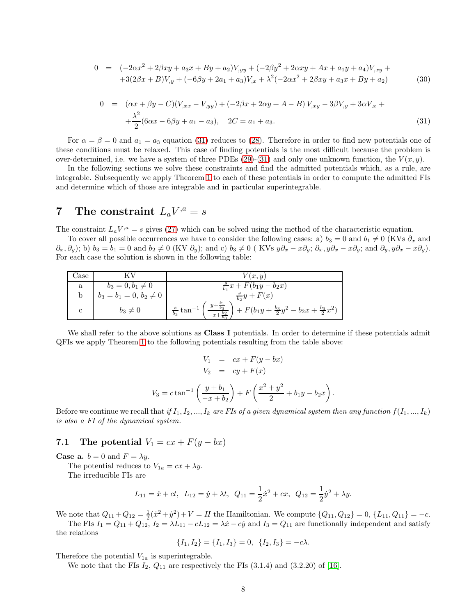<span id="page-7-1"></span>
$$
0 = (-2\alpha x^2 + 2\beta xy + a_3 x + By + a_2)V_{,yy} + (-2\beta y^2 + 2\alpha xy + Ax + a_1 y + a_4)V_{,xy} ++3(2\beta x + B)V_{,y} + (-6\beta y + 2a_1 + a_3)V_{,x} + \lambda^2(-2\alpha x^2 + 2\beta xy + a_3 x + By + a_2)
$$
(30)

<span id="page-7-0"></span>
$$
0 = (\alpha x + \beta y - C)(V_{,xx} - V_{,yy}) + (-2\beta x + 2\alpha y + A - B)V_{,xy} - 3\beta V_{,y} + 3\alpha V_{,x} +
$$
  
 
$$
+ \frac{\lambda^2}{2}(6\alpha x - 6\beta y + a_1 - a_3), \quad 2C = a_1 + a_3.
$$
 (31)

For  $\alpha = \beta = 0$  and  $a_1 = a_3$  equation [\(31\)](#page-7-0) reduces to [\(28\)](#page-6-4). Therefore in order to find new potentials one of these conditions must be relaxed. This case of finding potentials is the most difficult because the problem is over-determined, i.e. we have a system of three PDEs [\(29\)](#page-6-5)-[\(31\)](#page-7-0) and only one unknown function, the  $V(x, y)$ .

In the following sections we solve these constraints and find the admitted potentials which, as a rule, are integrable. Subsequently we apply Theorem [1](#page-4-0) to each of these potentials in order to compute the admitted FIs and determine which of those are integrable and in particular superintegrable.

# 7 The constraint  $L_a V^{,a} = s$

The constraint  $L_a V^a = s$  gives [\(27\)](#page-6-6) which can be solved using the method of the characteristic equation.

To cover all possible occurrences we have to consider the following cases: a)  $b_3 = 0$  and  $b_1 \neq 0$  (KVs  $\partial_x$  and  $\partial_x, \partial_y$ ; b)  $b_3 = b_1 = 0$  and  $b_2 \neq 0$  (KV  $\partial_y$ ); and c)  $b_3 \neq 0$  (KVs  $y\partial_x - x\partial_y$ ;  $\partial_x, y\partial_x - x\partial_y$ ; and  $\partial_y, y\partial_x - x\partial_y$ ). For each case the solution is shown in the following table:

| Jase |                             | V(x,y)                                                                                                                 |
|------|-----------------------------|------------------------------------------------------------------------------------------------------------------------|
| a    | $b_3 = 0, b_1 \neq 0$       | $\frac{s}{b_1}x + F(b_1y - b_2x)$                                                                                      |
|      | $b_3 = b_1 = 0, b_2 \neq 0$ | $\frac{s}{b_2}y+F(x)$                                                                                                  |
|      | $b_3\neq 0$                 | $y + \frac{b_1}{b_3}$<br>+ $F(b_1y + \frac{b_3}{2}y^2 - b_2x + \frac{b_3}{2}x^2)$<br>$\frac{s}{b_3}$ tan <sup>-1</sup> |

We shall refer to the above solutions as **Class I** potentials. In order to determine if these potentials admit QFIs we apply Theorem [1](#page-4-0) to the following potentials resulting from the table above:

$$
V_1 = cx + F(y - bx)
$$
  
\n
$$
V_2 = cy + F(x)
$$
  
\n
$$
V_3 = c \tan^{-1} \left( \frac{y + b_1}{-x + b_2} \right) + F \left( \frac{x^2 + y^2}{2} + b_1 y - b_2 x \right)
$$

.

Before we continue we recall that if  $I_1, I_2, ..., I_k$  are FIs of a given dynamical system then any function  $f(I_1, ..., I_k)$ is also a FI of the dynamical system.

### 7.1 The potential  $V_1 = cx + F(y - bx)$

**Case a.**  $b = 0$  and  $F = \lambda y$ .

The potential reduces to  $V_{1a} = cx + \lambda y$ .

The irreducible FIs are

$$
L_{11} = \dot{x} + ct, \ L_{12} = \dot{y} + \lambda t, \ Q_{11} = \frac{1}{2}\dot{x}^2 + cx, \ Q_{12} = \frac{1}{2}\dot{y}^2 + \lambda y.
$$

We note that  $Q_{11} + Q_{12} = \frac{1}{2}(\dot{x}^2 + \dot{y}^2) + V = H$  the Hamiltonian. We compute  $\{Q_{11}, Q_{12}\} = 0, \{L_{11}, Q_{11}\} = -c$ .

The FIs  $I_1 = Q_{11} + Q_{12}$ ,  $I_2 = \lambda L_{11} - cL_{12} = \lambda \dot{x} - c\dot{y}$  and  $I_3 = Q_{11}$  are functionally independent and satisfy the relations

$$
\{I_1, I_2\} = \{I_1, I_3\} = 0, \ \{I_2, I_3\} = -c\lambda.
$$

Therefore the potential  $V_{1a}$  is superintegrable.

We note that the FIs  $I_2$ ,  $Q_{11}$  are respectively the FIs  $(3.1.4)$  and  $(3.2.20)$  of [16].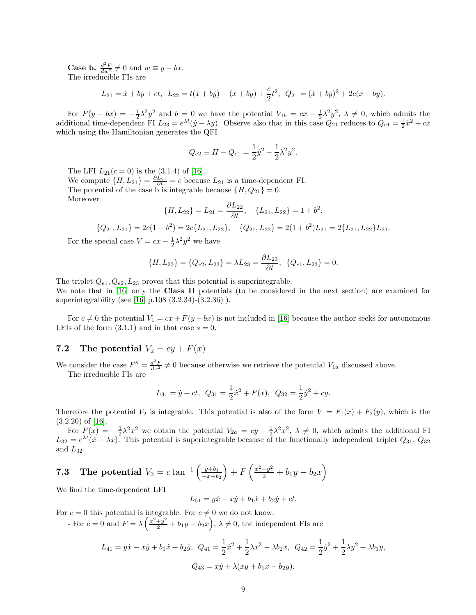**Case b.**  $\frac{d^2F}{dw^2} \neq 0$  and  $w \equiv y - bx$ . The irreducible FIs are

$$
L_{21} = \dot{x} + b\dot{y} + ct, \ L_{22} = t(\dot{x} + b\dot{y}) - (x + b\dot{y}) + \frac{c}{2}t^2, \ Q_{21} = (\dot{x} + b\dot{y})^2 + 2c(x + b\dot{y}).
$$

For  $F(y - bx) = -\frac{1}{2}\lambda^2 y^2$  and  $b = 0$  we have the potential  $V_{1b} = cx - \frac{1}{2}\lambda^2 y^2$ ,  $\lambda \neq 0$ , which admits the additional time-dependent FI  $L_{23} = e^{\lambda t}(\dot{y} - \lambda y)$ . Observe also that in this case  $Q_{21}$  reduces to  $Q_{e1} = \frac{1}{2}\dot{x}^2 + cx$ which using the Hamiltonian generates the QFI

$$
Q_{e2} \equiv H - Q_{e1} = \frac{1}{2} \dot{y}^2 - \frac{1}{2} \lambda^2 y^2.
$$

The LFI  $L_{21}(c=0)$  is the (3.1.4) of [16].

We compute  $\{H, L_{21}\} = \frac{\partial L_{21}}{\partial t} = c$  because  $L_{21}$  is a time-dependent FI. The potential of the case b is integrable because  $\{H, Q_{21}\} = 0$ . Moreover

$$
\{H, L_{22}\} = L_{21} = \frac{\partial L_{22}}{\partial t}, \quad \{L_{21}, L_{22}\} = 1 + b^2,
$$

$$
{Q_{21}, L_{21}} = 2c(1 + b^2) = 2c{L_{21}, L_{22}}, \quad {Q_{21}, L_{22}} = 2(1 + b^2)L_{21} = 2{L_{21}, L_{22}}L_{21}.
$$

For the special case  $V = cx - \frac{1}{2}\lambda^2 y^2$  we have

$$
\{H, L_{23}\} = \{Q_{e2}, L_{23}\} = \lambda L_{23} = \frac{\partial L_{23}}{\partial t}, \ \{Q_{e1}, L_{23}\} = 0.
$$

The triplet  $Q_{e1}, Q_{e2}, L_{23}$  proves that this potential is superintegrable.

We note that in [16] only the **Class II** potentials (to be considered in the next section) are examined for superintegrability (see [16] p.108 (3.2.34)-(3.2.36) ).

For  $c \neq 0$  the potential  $V_1 = cx + F(y - bx)$  is not included in [16] because the author seeks for autonomous LFIs of the form  $(3.1.1)$  and in that case  $s = 0$ .

### 7.2 The potential  $V_2 = cy + F(x)$

We consider the case  $F'' = \frac{d^2 F}{dx^2} \neq 0$  because otherwise we retrieve the potential  $V_{1a}$  discussed above.

The irreducible FIs are

$$
L_{31} = \dot{y} + ct
$$
,  $Q_{31} = \frac{1}{2}\dot{x}^2 + F(x)$ ,  $Q_{32} = \frac{1}{2}\dot{y}^2 + cy$ .

Therefore the potential  $V_2$  is integrable. This potential is also of the form  $V = F_1(x) + F_2(y)$ , which is the  $(3.2.20)$  of [16].

For  $F(x) = -\frac{1}{2}\lambda^2 x^2$  we obtain the potential  $V_{2a} = cy - \frac{1}{2}\lambda^2 x^2$ ,  $\lambda \neq 0$ , which admits the additional FI  $L_{32} = e^{\lambda t} (\dot{x} - \lambda x)$ . This potential is superintegrable because of the functionally independent triplet  $Q_{31}$ ,  $Q_{32}$ and  $L_{32}$ .

#### <span id="page-8-0"></span>**7.3** The potential  $V_3 = c \tan^{-1} \left( \frac{y+b_1}{-x+b_2} \right)$  $-x+b_2$  $+ F\left(\frac{x^2+y^2}{2} + b_1y - b_2x\right)$

We find the time-dependent LFI

$$
L_{51} = y\dot{x} - x\dot{y} + b_1\dot{x} + b_2\dot{y} + ct.
$$

For  $c = 0$  this potential is integrable. For  $c \neq 0$  we do not know.

For  $c = 0$  and  $F = \lambda \left( \frac{x^2 + y^2}{2} + b_1 y - b_2 x \right)$ ,  $\lambda \neq 0$ , the independent FIs are

$$
L_{41} = y\dot{x} - x\dot{y} + b_1\dot{x} + b_2\dot{y}, \ Q_{41} = \frac{1}{2}\dot{x}^2 + \frac{1}{2}\lambda x^2 - \lambda b_2 x, \ Q_{42} = \frac{1}{2}\dot{y}^2 + \frac{1}{2}\lambda y^2 + \lambda b_1 y,
$$
  

$$
Q_{43} = \dot{x}\dot{y} + \lambda(xy + b_1x - b_2y).
$$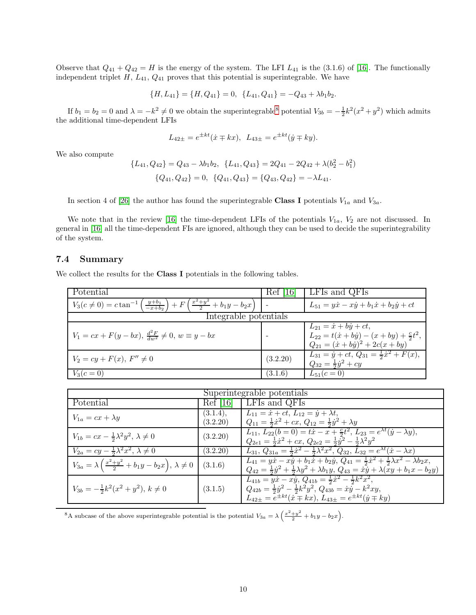Observe that  $Q_{41} + Q_{42} = H$  is the energy of the system. The LFI  $L_{41}$  is the (3.1.6) of [16]. The functionally independent triplet  $H$ ,  $L_{41}$ ,  $Q_{41}$  proves that this potential is superintegrable. We have

$$
\{H, L_{41}\} = \{H, Q_{41}\} = 0, \ \{L_{41}, Q_{41}\} = -Q_{43} + \lambda b_1 b_2.
$$

If  $b_1 = b_2 = 0$  and  $\lambda = -k^2 \neq 0$  we obtain the superintegrable<sup>[8](#page-9-0)</sup> potential  $V_{3b} = -\frac{1}{2}k^2(x^2 + y^2)$  which admits the additional time-dependent LFIs

$$
L_{42\pm} = e^{\pm kt}(\dot{x} \mp kx), \ L_{43\pm} = e^{\pm kt}(\dot{y} \mp ky).
$$

We also compute

$$
\{L_{41}, Q_{42}\} = Q_{43} - \lambda b_1 b_2, \ \{L_{41}, Q_{43}\} = 2Q_{41} - 2Q_{42} + \lambda (b_2^2 - b_1^2)
$$

$$
\{Q_{41}, Q_{42}\} = 0, \ \{Q_{41}, Q_{43}\} = \{Q_{43}, Q_{42}\} = -\lambda L_{41}.
$$

In section 4 of [26] the author has found the superintegrable Class I potentials  $V_{1a}$  and  $V_{3a}$ .

We note that in the review [16] the time-dependent LFIs of the potentials  $V_{1a}$ ,  $V_2$  are not discussed. In general in [16] all the time-dependent FIs are ignored, although they can be used to decide the superintegrability of the system.

#### 7.4 Summary

We collect the results for the **Class I** potentials in the following tables.

| Potential                                                                                                              | 161<br>Ket | LFIs and QFIs                                                                                                                                         |  |
|------------------------------------------------------------------------------------------------------------------------|------------|-------------------------------------------------------------------------------------------------------------------------------------------------------|--|
| $V_3(c \neq 0) = c \tan^{-1} \left( \frac{y+b_1}{-x+b_2} \right) + F \left( \frac{x^2+y^2}{2} + b_1 y - b_2 x \right)$ |            | $L_{51} = y\dot{x} - x\dot{y} + b_1\dot{x} + b_2\dot{y} + ct$                                                                                         |  |
| Integrable potentials                                                                                                  |            |                                                                                                                                                       |  |
| $V_1 = cx + F(y - bx), \frac{d^2 F}{dw^2} \neq 0, w \equiv y - bx$                                                     |            | $L_{21} = \dot{x} + b\dot{y} + ct,$<br>$L_{22} = t(\dot{x} + b\dot{y}) - (x + by) + \frac{c}{2}t^2$<br>$Q_{21} = (\dot{x} + b\dot{y})^2 + 2c(x + by)$ |  |
| $V_2 = cy + F(x), F'' \neq 0$                                                                                          | (3.2.20)   | $L_{31} = \dot{y} + ct, Q_{31} = \frac{1}{2}\dot{x}^2 + \overline{F(x)},$<br>$Q_{32} = \frac{1}{2}\dot{y}^2 + cy$                                     |  |
| $V_3(c=0)$                                                                                                             | (3.1.6)    | $L_{51}(c=0)$                                                                                                                                         |  |

| Superintegrable potentials                                                            |                      |                                                                                                                                                                                                                                                                             |  |  |  |
|---------------------------------------------------------------------------------------|----------------------|-----------------------------------------------------------------------------------------------------------------------------------------------------------------------------------------------------------------------------------------------------------------------------|--|--|--|
| Potential                                                                             | Ref[16]              | <b>LFIs and QFIs</b>                                                                                                                                                                                                                                                        |  |  |  |
| $V_{1a} = cx + \lambda y$                                                             | (3.1.4),<br>(3.2.20) | $L_{11} = \dot{x} + ct, L_{12} = \dot{y} + \lambda t,$<br>$Q_{11} = \frac{1}{2}\dot{x}^2 + cx$ , $Q_{12} = \frac{1}{2}\dot{y}^2 + \lambda y$                                                                                                                                |  |  |  |
| $V_{1b} = cx - \frac{1}{2}\lambda^2 y^2, \lambda \neq 0$                              | (3.2.20)             | $L_{11}, L_{22}(b=0) = t\dot{x} - x + \frac{c}{2}t^2, L_{23} = e^{\lambda t}(\dot{y} - \lambda y),$<br>$Q_{2e1} = \frac{1}{2}\dot{x}^2 + cx$ , $Q_{2e2} = \frac{1}{2}\dot{y}^2 - \frac{1}{2}\lambda^2y^2$                                                                   |  |  |  |
| $V_{2a} = cy - \frac{1}{2}\lambda^2 x^2, \lambda \neq 0$                              | (3.2.20)             | $L_{31}, Q_{31a} = \frac{1}{2}\dot{x}^2 - \frac{1}{2}\lambda^2 x^2, Q_{32}, L_{32} = e^{\lambda t}(\dot{x} - \lambda x)$                                                                                                                                                    |  |  |  |
| $V_{3a} = \lambda \left( \frac{x^2 + y^2}{2} + b_1 y - b_2 x \right), \lambda \neq 0$ | (3.1.6)              | $L_{41} = y\dot{x} - x\dot{y} + b_1\dot{x} + b_2\dot{y}$ , $Q_{41} = \frac{1}{2}\dot{x}^2 + \frac{1}{2}\lambda x^2 - \lambda b_2x$ ,<br>$Q_{42} = \frac{1}{2}\dot{y}^2 + \frac{1}{2}\lambda y^2 + \lambda b_1 y, Q_{43} = \dot{x}\dot{y} + \lambda(\dot{x}y + b_1x - b_2y)$ |  |  |  |
| $V_{3b} = -\frac{1}{2}k^2(x^2+y^2), k \neq 0$                                         | (3.1.5)              | $L_{41b} = y\dot{x} - x\dot{y}$ , $Q_{41b} = \frac{1}{2}\dot{x}^2 - \frac{1}{2}k^2x^2$ ,<br>$Q_{42b} = \frac{1}{2}\dot{y}^2 - \frac{1}{2}k^2y^2, Q_{43b} = \dot{x}\dot{y} - k^2xy,$<br>$L_{42+} = e^{\pm kt}(\dot{x} \mp kx), L_{43\pm} = e^{\pm kt}(\dot{y} \mp ky)$       |  |  |  |

<span id="page-9-0"></span><sup>8</sup>A subcase of the above superintegrable potential is the potential  $V_{3a} = \lambda \left( \frac{x^2 + y^2}{2} + b_1 y - b_2 x \right)$ .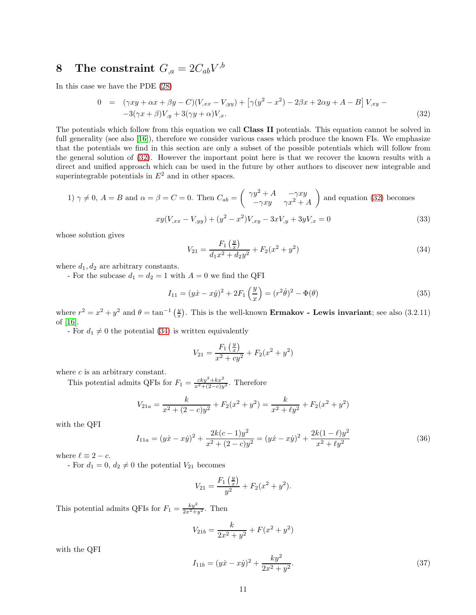# ${\bf 8}\quad \textbf{The constraint}\,\, G_{,a} = 2C_{ab}V^{,b}$

In this case we have the PDE [\(28\)](#page-6-4)

<span id="page-10-0"></span>
$$
0 = (\gamma xy + \alpha x + \beta y - C)(V_{,xx} - V_{,yy}) + [\gamma(y^2 - x^2) - 2\beta x + 2\alpha y + A - B]V_{,xy} --3(\gamma x + \beta)V_{,y} + 3(\gamma y + \alpha)V_{,x}.
$$
\n(32)

The potentials which follow from this equation we call Class II potentials. This equation cannot be solved in full generality (see also [16]), therefore we consider various cases which produce the known FIs. We emphasize that the potentials we find in this section are only a subset of the possible potentials which will follow from the general solution of [\(32\)](#page-10-0). However the important point here is that we recover the known results with a direct and unified approach which can be used in the future by other authors to discover new integrable and superintegrable potentials in  $E^2$  and in other spaces.

1) 
$$
\gamma \neq 0
$$
,  $A = B$  and  $\alpha = \beta = C = 0$ . Then  $C_{ab} = \begin{pmatrix} \gamma y^2 + A & -\gamma xy \\ -\gamma xy & \gamma x^2 + A \end{pmatrix}$  and equation (32) becomes  

$$
xy(V_{,xx} - V_{,yy}) + (y^2 - x^2)V_{,xy} - 3xV_{,y} + 3yV_{,x} = 0
$$
(33)

whose solution gives

<span id="page-10-2"></span><span id="page-10-1"></span>
$$
V_{21} = \frac{F_1\left(\frac{y}{x}\right)}{d_1x^2 + d_2y^2} + F_2(x^2 + y^2)
$$
\n(34)

where  $d_1, d_2$  are arbitrary constants.

- For the subcase  $d_1 = d_2 = 1$  with  $A = 0$  we find the QFI

$$
I_{11} = (y\dot{x} - x\dot{y})^2 + 2F_1\left(\frac{y}{x}\right) = (r^2\dot{\theta})^2 - \Phi(\theta)
$$
\n(35)

where  $r^2 = x^2 + y^2$  and  $\theta = \tan^{-1}(\frac{y}{x})$ . This is the well-known **Ermakov** - Lewis invariant; see also (3.2.11) of [16].

- For  $d_1 \neq 0$  the potential [\(34\)](#page-10-1) is written equivalently

$$
V_{21} = \frac{F_1(\frac{y}{x})}{x^2 + cy^2} + F_2(x^2 + y^2)
$$

where  $c$  is an arbitrary constant.

This potential admits QFIs for  $F_1 = \frac{cky^2 + kx^2}{x^2 + (2-c)y}$  $\frac{cky^2+kx^2}{x^2+(2-c)y^2}$ . Therefore

$$
V_{21a} = \frac{k}{x^2 + (2 - c)y^2} + F_2(x^2 + y^2) = \frac{k}{x^2 + \ell y^2} + F_2(x^2 + y^2)
$$

with the QFI

$$
I_{11a} = (y\dot{x} - x\dot{y})^2 + \frac{2k(c-1)y^2}{x^2 + (2-c)y^2} = (y\dot{x} - x\dot{y})^2 + \frac{2k(1-\ell)y^2}{x^2 + \ell y^2}
$$
(36)

where  $\ell \equiv 2 - c$ .

- For  $d_1 = 0, d_2 \neq 0$  the potential  $V_{21}$  becomes

$$
V_{21} = \frac{F_1(\frac{y}{x})}{y^2} + F_2(x^2 + y^2).
$$

This potential admits QFIs for  $F_1 = \frac{ky^2}{2x^2 + y^2}$ . Then

$$
V_{21b} = \frac{k}{2x^2 + y^2} + F(x^2 + y^2)
$$

with the QFI

$$
I_{11b} = (y\dot{x} - x\dot{y})^2 + \frac{ky^2}{2x^2 + y^2}.
$$
\n(37)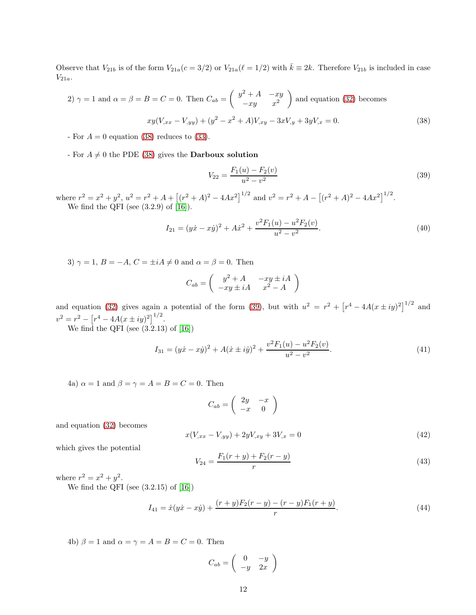Observe that  $V_{21b}$  is of the form  $V_{21a}(c=3/2)$  or  $V_{21a}(\ell=1/2)$  with  $\bar{k} \equiv 2k$ . Therefore  $V_{21b}$  is included in case  $V_{21a}$ .

2) 
$$
\gamma = 1
$$
 and  $\alpha = \beta = B = C = 0$ . Then  $C_{ab} = \begin{pmatrix} y^2 + A & -xy \\ -xy & x^2 \end{pmatrix}$  and equation (32) becomes  

$$
xy(V_{,xx} - V_{,yy}) + (y^2 - x^2 + A)V_{,xy} - 3xV_{,y} + 3yV_{,x} = 0.
$$
 (38)

- For  $A = 0$  equation [\(38\)](#page-11-0) reduces to [\(33\)](#page-10-2).

- For  $A \neq 0$  the PDE [\(38\)](#page-11-0) gives the **Darboux solution** 

<span id="page-11-1"></span><span id="page-11-0"></span>
$$
V_{22} = \frac{F_1(u) - F_2(v)}{u^2 - v^2}
$$
\n(39)

where  $r^2 = x^2 + y^2$ ,  $u^2 = r^2 + A + [(r^2 + A)^2 - 4Ax^2]^{1/2}$  and  $v^2 = r^2 + A - [(r^2 + A)^2 - 4Ax^2]^{1/2}$ . We find the QFI (see  $(3.2.9)$  of  $[16]$ ).

$$
I_{21} = (y\dot{x} - x\dot{y})^2 + A\dot{x}^2 + \frac{v^2 F_1(u) - u^2 F_2(v)}{u^2 - v^2}.
$$
\n(40)

3)  $\gamma = 1$ ,  $B = -A$ ,  $C = \pm iA \neq 0$  and  $\alpha = \beta = 0$ . Then

$$
C_{ab} = \begin{pmatrix} y^2 + A & -xy \pm iA \\ -xy \pm iA & x^2 - A \end{pmatrix}
$$

and equation [\(32\)](#page-10-0) gives again a potential of the form [\(39\)](#page-11-1), but with  $u^2 = r^2 + [r^4 - 4A(x \pm iy)^2]^{1/2}$  and  $v^2 = r^2 - [r^4 - 4A(x \pm iy)^2]^{1/2}.$ 

We find the QFI (see  $(3.2.13)$  of  $[16]$ )

$$
I_{31} = (yx - xy)^2 + A(\dot{x} \pm i\dot{y})^2 + \frac{v^2 F_1(u) - u^2 F_2(v)}{u^2 - v^2}.
$$
\n(41)

4a)  $\alpha = 1$  and  $\beta = \gamma = A = B = C = 0$ . Then

$$
C_{ab} = \left(\begin{array}{cc} 2y & -x \\ -x & 0 \end{array}\right)
$$

and equation [\(32\)](#page-10-0) becomes

<span id="page-11-3"></span>
$$
x(V_{,xx} - V_{,yy}) + 2yV_{,xy} + 3V_{,x} = 0
$$
\n(42)

which gives the potential

<span id="page-11-2"></span>
$$
V_{24} = \frac{F_1(r+y) + F_2(r-y)}{r}
$$
\n(43)

where  $r^2 = x^2 + y^2$ .

We find the QFI (see  $(3.2.15)$  of  $[16]$ )

$$
I_{41} = \dot{x}(y\dot{x} - x\dot{y}) + \frac{(r+y)F_2(r-y) - (r-y)F_1(r+y)}{r}.
$$
\n(44)

4b)  $\beta = 1$  and  $\alpha = \gamma = A = B = C = 0$ . Then

$$
C_{ab} = \left(\begin{array}{cc} 0 & -y \\ -y & 2x \end{array}\right)
$$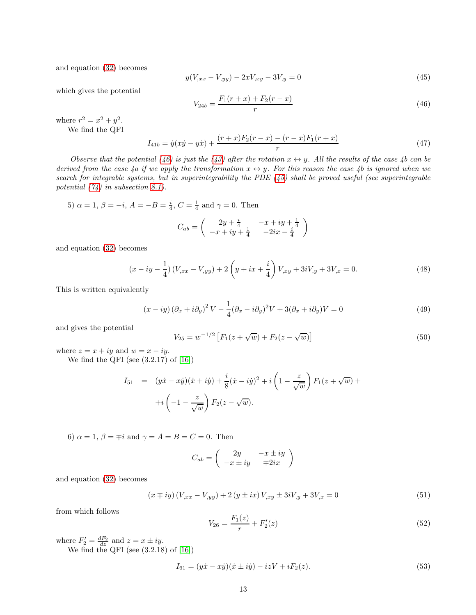and equation [\(32\)](#page-10-0) becomes

<span id="page-12-1"></span>
$$
y(V_{,xx} - V_{,yy}) - 2xV_{,xy} - 3V_{,y} = 0
$$
\n(45)

which gives the potential

<span id="page-12-0"></span>
$$
V_{24b} = \frac{F_1(r+x) + F_2(r-x)}{r}
$$
\n(46)

where  $r^2 = x^2 + y^2$ .

We find the QFI

$$
I_{41b} = \dot{y}(x\dot{y} - y\dot{x}) + \frac{(r+x)F_2(r-x) - (r-x)F_1(r+x)}{r}
$$
\n(47)

Observe that the potential [\(46\)](#page-12-0) is just the [\(43\)](#page-11-2) after the rotation  $x \leftrightarrow y$ . All the results of the case 4b can be derived from the case 4a if we apply the transformation  $x \leftrightarrow y$ . For this reason the case 4b is ignored when we search for integrable systems, but in superintegrability the PDE  $(45)$  shall be proved useful (see superintegrable potential  $(74)$  in subsection [8.1\)](#page-14-0).

5) 
$$
\alpha = 1, \beta = -i, A = -B = \frac{i}{4}, C = \frac{1}{4}
$$
 and  $\gamma = 0$ . Then

$$
C_{ab} = \begin{pmatrix} 2y + \frac{i}{4} & -x + iy + \frac{1}{4} \\ -x + iy + \frac{1}{4} & -2ix - \frac{i}{4} \end{pmatrix}
$$

and equation [\(32\)](#page-10-0) becomes

$$
(x - iy - \frac{1}{4}) (V_{,xx} - V_{,yy}) + 2 \left( y + ix + \frac{i}{4} \right) V_{,xy} + 3iV_{,y} + 3V_{,x} = 0.
$$
 (48)

This is written equivalently

$$
(x - iy)(\partial_x + i\partial_y)^2 V - \frac{1}{4}(\partial_x - i\partial_y)^2 V + 3(\partial_x + i\partial_y) V = 0
$$
\n(49)

and gives the potential

$$
V_{25} = w^{-1/2} \left[ F_1(z + \sqrt{w}) + F_2(z - \sqrt{w}) \right]
$$
 (50)

where  $z = x + iy$  and  $w = x - iy$ .

We find the QFI (see  $(3.2.17)$  of  $[16]$ )

$$
I_{51} = (y\dot{x} - x\dot{y})(\dot{x} + i\dot{y}) + \frac{i}{8}(\dot{x} - i\dot{y})^2 + i\left(1 - \frac{z}{\sqrt{w}}\right)F_1(z + \sqrt{w}) + i\left(-1 - \frac{z}{\sqrt{w}}\right)F_2(z - \sqrt{w}).
$$

6)  $\alpha = 1, \beta = \pm i$  and  $\gamma = A = B = C = 0$ . Then

$$
C_{ab} = \begin{pmatrix} 2y & -x \pm iy \\ -x \pm iy & \mp 2ix \end{pmatrix}
$$

and equation [\(32\)](#page-10-0) becomes

$$
(x \mp iy) (V_{,xx} - V_{,yy}) + 2 (y \pm ix) V_{,xy} \pm 3iV_{,y} + 3V_{,x} = 0
$$
\n(51)

from which follows

$$
V_{26} = \frac{F_1(z)}{r} + F_2'(z) \tag{52}
$$

where  $F'_2 = \frac{dF_2}{dz}$  and  $z = x \pm iy$ . We find the QFI (see  $(3.2.18)$  of  $[16]$ )

$$
I_{61} = (y\dot{x} - x\dot{y})(\dot{x} \pm i\dot{y}) - i zV + iF_2(z). \tag{53}
$$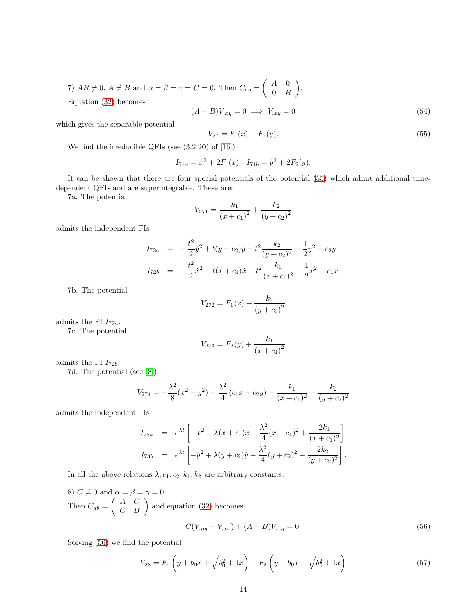7)  $AB \neq 0, A \neq B$  and  $\alpha = \beta = \gamma = C = 0$ . Then  $C_{ab} = \begin{pmatrix} A & 0 \\ 0 & B \end{pmatrix}$  $0 \quad B$  . Equation [\(32\)](#page-10-0) becomes

$$
(A - B)V_{,xy} = 0 \implies V_{,xy} = 0 \tag{54}
$$

which gives the separable potential

<span id="page-13-0"></span>
$$
V_{27} = F_1(x) + F_2(y). \tag{55}
$$

We find the irreducible QFIs (see (3.2.20) of [16])

$$
I_{71a} = \dot{x}^2 + 2F_1(x), \ I_{71b} = \dot{y}^2 + 2F_2(y).
$$

It can be shown that there are four special potentials of the potential [\(55\)](#page-13-0) which admit additional timedependent QFIs and are superintegrable. These are:

7a. The potential

$$
V_{271} = \frac{k_1}{(x + c_1)^2} + \frac{k_2}{(y + c_2)^2}
$$

admits the independent FIs

$$
I_{72a} = -\frac{t^2}{2}\dot{y}^2 + t(y + c_2)\dot{y} - t^2 \frac{k_2}{(y + c_2)^2} - \frac{1}{2}y^2 - c_2y
$$
  
\n
$$
I_{72b} = -\frac{t^2}{2}\dot{x}^2 + t(x + c_1)\dot{x} - t^2 \frac{k_1}{(x + c_1)^2} - \frac{1}{2}x^2 - c_1x.
$$

7b. The potential

$$
V_{272} = F_1(x) + \frac{k_2}{(y + c_2)^2}
$$

admits the FI  $I_{72a}$ .

7c. The potential

$$
V_{273} = F_2(y) + \frac{k_1}{(x + c_1)^2}
$$

admits the FI  $I_{72b}$ .

7d. The potential (see [\[8\]](#page-19-1))

$$
V_{274} = -\frac{\lambda^2}{8}(x^2 + y^2) - \frac{\lambda^2}{4}(c_1x + c_2y) - \frac{k_1}{(x + c_1)^2} - \frac{k_2}{(y + c_2)^2}
$$

admits the independent FIs

$$
I_{73a} = e^{\lambda t} \left[ -\dot{x}^2 + \lambda (x + c_1) \dot{x} - \frac{\lambda^2}{4} (x + c_1)^2 + \frac{2k_1}{(x + c_1)^2} \right]
$$
  
\n
$$
I_{73b} = e^{\lambda t} \left[ -\dot{y}^2 + \lambda (y + c_2) \dot{y} - \frac{\lambda^2}{4} (y + c_2)^2 + \frac{2k_2}{(y + c_2)^2} \right].
$$

In all the above relations  $\lambda$ ,  $c_1$ ,  $c_2$ ,  $k_1$ ,  $k_2$  are arbitrary constants.

8) 
$$
C \neq 0
$$
 and  $\alpha = \beta = \gamma = 0$ .  
\nThen  $C_{ab} = \begin{pmatrix} A & C \\ C & B \end{pmatrix}$  and equation (32) becomes  
\n
$$
C(V_{,yy} - V_{,xx}) + (A - B)V_{,xy} = 0.
$$
\n(56)

Solving [\(56\)](#page-13-1) we find the potential

<span id="page-13-1"></span>
$$
V_{28} = F_1 \left( y + b_0 x + \sqrt{b_0^2 + 1} x \right) + F_2 \left( y + b_0 x - \sqrt{b_0^2 + 1} x \right)
$$
\n(57)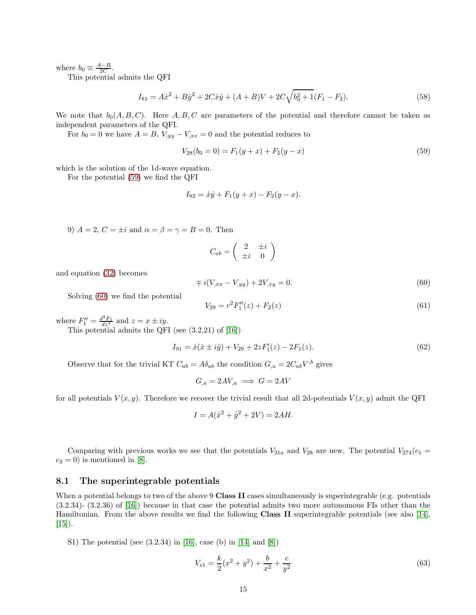where  $b_0 \equiv \frac{A-B}{2C}$ .

This potential admits the QFI

$$
I_{81} = A\dot{x}^2 + B\dot{y}^2 + 2C\dot{x}\dot{y} + (A+B)V + 2C\sqrt{b_0^2 + 1}(F_1 - F_2). \tag{58}
$$

We note that  $b_0(A, B, C)$ . Here A, B, C are parameters of the potential and therefore cannot be taken as independent parameters of the QFI.

For  $b_0 = 0$  we have  $A = B$ ,  $V_{,yy} - V_{,xx} = 0$  and the potential reduces to

<span id="page-14-1"></span>
$$
V_{28}(b_0 = 0) = F_1(y + x) + F_2(y - x)
$$
\n(59)

which is the solution of the 1d-wave equation.

For the potential [\(59\)](#page-14-1) we find the QFI

$$
I_{82} = \dot{x}\dot{y} + F_1(y+x) - F_2(y-x).
$$

9)  $A = 2, C = \pm i$  and  $\alpha = \beta = \gamma = B = 0$ . Then

$$
C_{ab} = \left(\begin{array}{cc} 2 & \pm i \\ \pm i & 0 \end{array}\right)
$$

and equation [\(32\)](#page-10-0) becomes

<span id="page-14-2"></span>
$$
\mp i(V_{,xx} - V_{,yy}) + 2V_{,xy} = 0.
$$
\n(60)

Solving [\(60\)](#page-14-2) we find the potential

$$
V_{29} = r^2 F_1''(z) + F_2(z)
$$
\n(61)

where  $F_1'' = \frac{d^2 F_1}{dz^2}$  and  $z = x \pm iy$ .

This potential admits the QFI (see (3.2.21) of [16])

$$
I_{91} = \dot{x}(\dot{x} \pm i\dot{y}) + V_{29} + 2zF'_1(z) - 2F_1(z). \tag{62}
$$

Observe that for the trivial KT  $C_{ab} = A\delta_{ab}$  the condition  $G_{,a} = 2C_{ab}V^{,b}$  gives

$$
G_{,a} = 2AV_{,a} \implies G = 2AV
$$

for all potentials  $V(x, y)$ . Therefore we recover the trivial result that all 2d-potentials  $V(x, y)$  admit the QFI

$$
I = A(\dot{x}^2 + \dot{y}^2 + 2V) = 2AH.
$$

Comparing with previous works we see that the potentials  $V_{21a}$  and  $V_{28}$  are new. The potential  $V_{274}(c_1 =$  $c_2 = 0$ ) is mentioned in [\[8\]](#page-19-1).

#### <span id="page-14-0"></span>8.1 The superintegrable potentials

When a potential belongs to two of the above 9 Class II cases simultaneously is superintegrable (e.g. potentials (3.2.34)- (3.2.36) of [16]) because in that case the potential admits two more autonomous FIs other than the Hamiltonian. From the above results we find the following Class II superintegrable potentials (see also [14],  $[15]$ .

S1) The potential (see (3.2.34) in [16], case (b) in [14] and [\[8\]](#page-19-1))

$$
V_{s1} = \frac{k}{2}(x^2 + y^2) + \frac{b}{x^2} + \frac{c}{y^2}
$$
\n(63)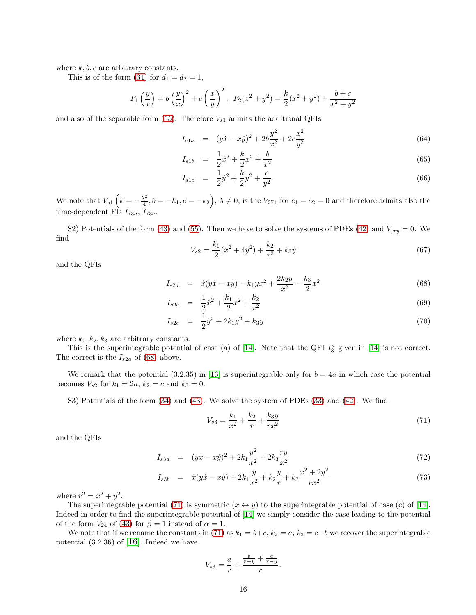where  $k, b, c$  are arbitrary constants.

This is of the form [\(34\)](#page-10-1) for  $d_1 = d_2 = 1$ ,

$$
F_1\left(\frac{y}{x}\right) = b\left(\frac{y}{x}\right)^2 + c\left(\frac{x}{y}\right)^2
$$
,  $F_2(x^2 + y^2) = \frac{k}{2}(x^2 + y^2) + \frac{b+c}{x^2 + y^2}$ 

and also of the separable form [\(55\)](#page-13-0). Therefore  $V_{s1}$  admits the additional QFIs

$$
I_{s1a} = (y\dot{x} - x\dot{y})^2 + 2b\frac{y^2}{x^2} + 2c\frac{x^2}{y^2}
$$
\n(64)

$$
I_{s1b} = \frac{1}{2}\dot{x}^2 + \frac{k}{2}x^2 + \frac{b}{x^2}
$$
 (65)

$$
I_{s1c} = \frac{1}{2}\dot{y}^2 + \frac{k}{2}y^2 + \frac{c}{y^2}.
$$
\n(66)

We note that  $V_{s1}$   $\left(k = -\frac{\lambda^2}{4}\right)$  $\left(\frac{\lambda^2}{4}, b = -k_1, c = -k_2\right)$ ,  $\lambda \neq 0$ , is the  $V_{274}$  for  $c_1 = c_2 = 0$  and therefore admits also the time-dependent FIs  $I_{73a}$ ,  $I_{73b}$ .

S2) Potentials of the form [\(43\)](#page-11-2) and [\(55\)](#page-13-0). Then we have to solve the systems of PDEs [\(42\)](#page-11-3) and  $V_{,xy} = 0$ . We find

$$
V_{s2} = \frac{k_1}{2}(x^2 + 4y^2) + \frac{k_2}{x^2} + k_3y \tag{67}
$$

and the QFIs

<span id="page-15-0"></span>
$$
I_{s2a} = \dot{x}(y\dot{x} - x\dot{y}) - k_1yx^2 + \frac{2k_2y}{x^2} - \frac{k_3}{2}x^2
$$
\n(68)

$$
I_{s2b} = \frac{1}{2}\dot{x}^2 + \frac{k_1}{2}x^2 + \frac{k_2}{x^2}
$$
 (69)

$$
I_{s2c} = \frac{1}{2}\dot{y}^2 + 2k_1y^2 + k_3y. \tag{70}
$$

where  $k_1, k_2, k_3$  are arbitrary constants.

This is the superintegrable potential of case (a) of [14]. Note that the QFI  $I_3^a$  given in [14] is not correct. The correct is the  $I_{s2a}$  of [\(68\)](#page-15-0) above.

We remark that the potential  $(3.2.35)$  in [16] is superintegrable only for  $b = 4a$  in which case the potential becomes  $V_{s2}$  for  $k_1 = 2a, k_2 = c$  and  $k_3 = 0$ .

S3) Potentials of the form [\(34\)](#page-10-1) and [\(43\)](#page-11-2). We solve the system of PDEs [\(33\)](#page-10-2) and [\(42\)](#page-11-3). We find

<span id="page-15-1"></span>
$$
V_{s3} = \frac{k_1}{x^2} + \frac{k_2}{r} + \frac{k_3 y}{r x^2} \tag{71}
$$

and the QFIs

$$
I_{s3a} = (y\dot{x} - x\dot{y})^2 + 2k_1 \frac{y^2}{x^2} + 2k_3 \frac{ry}{x^2}
$$
\n
$$
(72)
$$

$$
I_{s3b} = \dot{x}(y\dot{x} - x\dot{y}) + 2k_1 \frac{y}{x^2} + k_2 \frac{y}{r} + k_3 \frac{x^2 + 2y^2}{rx^2}
$$
 (73)

where  $r^2 = x^2 + y^2$ .

The superintegrable potential [\(71\)](#page-15-1) is symmetric  $(x \leftrightarrow y)$  to the superintegrable potential of case (c) of [14]. Indeed in order to find the superintegrable potential of [14] we simply consider the case leading to the potential of the form  $V_{24}$  of [\(43\)](#page-11-2) for  $\beta = 1$  instead of  $\alpha = 1$ .

We note that if we rename the constants in [\(71\)](#page-15-1) as  $k_1 = b+c$ ,  $k_2 = a$ ,  $k_3 = c-b$  we recover the superintegrable potential  $(3.2.36)$  of [16]. Indeed we have

$$
V_{s3} = \frac{a}{r} + \frac{\frac{b}{r+y} + \frac{c}{r-y}}{r}.
$$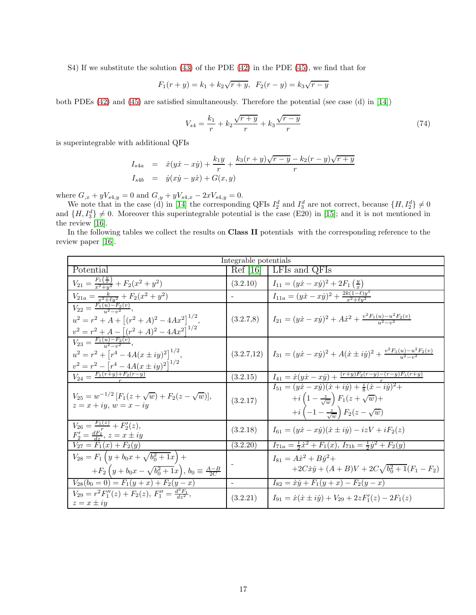S4) If we substitute the solution [\(43\)](#page-11-2) of the PDE [\(42\)](#page-11-3) in the PDE [\(45\)](#page-12-1), we find that for

$$
F_1(r + y) = k_1 + k_2\sqrt{r + y}, \ F_2(r - y) = k_3\sqrt{r - y}
$$

both PDEs [\(42\)](#page-11-3) and [\(45\)](#page-12-1) are satisfied simultaneously. Therefore the potential (see case (d) in [14])

<span id="page-16-0"></span>
$$
V_{s4} = \frac{k_1}{r} + k_2 \frac{\sqrt{r+y}}{r} + k_3 \frac{\sqrt{r-y}}{r}
$$
\n(74)

is superintegrable with additional QFIs

$$
I_{s4a} = \dot{x}(y\dot{x} - x\dot{y}) + \frac{k_1y}{r} + \frac{k_3(r+y)\sqrt{r-y} - k_2(r-y)\sqrt{r+y}}{r}
$$
  

$$
I_{s4b} = \dot{y}(x\dot{y} - y\dot{x}) + G(x, y)
$$

where  $G_{,x} + yV_{s4,y} = 0$  and  $G_{,y} + yV_{s4,x} - 2xV_{s4,y} = 0$ .

We note that in the case (d) in [14] the corresponding QFIs  $I_2^d$  and  $I_3^d$  are not correct, because  $\{H, I_2^d\} \neq 0$ and  $\{H, I_3^d\} \neq 0$ . Moreover this superintegrable potential is the case (E20) in [15]; and it is not mentioned in the review [16].

In the following tables we collect the results on Class II potentials with the corresponding reference to the review paper [16].

| Integrable potentials                                                                                                                                     |                           |                                                                                                                                                                                                  |  |  |  |
|-----------------------------------------------------------------------------------------------------------------------------------------------------------|---------------------------|--------------------------------------------------------------------------------------------------------------------------------------------------------------------------------------------------|--|--|--|
| Potential                                                                                                                                                 | $\operatorname{Ref}$ [16] | LES and QFIs                                                                                                                                                                                     |  |  |  |
| $V_{21} = \frac{F_1(\frac{y}{x})}{x^2+y^2} + F_2(x^2+y^2)$                                                                                                | (3.2.10)                  | $I_{11} = (y\dot{x} - x\dot{y})^2 + 2F_1(\frac{y}{x})$                                                                                                                                           |  |  |  |
| $V_{21a} = \frac{k}{x^2 + y^2} + F_2(x^2 + y^2)$                                                                                                          |                           | $I_{11a} = (y\dot{x} - x\dot{y})^2 + \frac{2k(1-\ell)y^2}{x^2 + \ell y^2}$                                                                                                                       |  |  |  |
| $V_{22} = \frac{F_1(u) - F_2(v)}{u^2 - v^2}$<br>$u^{2} = r^{2} + A + [(r^{2} + A)^{2} - 4Ax^{2}]^{1/2},$<br>$v^2 = r^2 + A - [(r^2 + A)^2 - 4Ax^2]^{1/2}$ |                           | $(3.2.7.8)$ $I_{21} = (yx - xy)^2 + Ax^2 + \frac{v^2 F_1(u) - u^2 F_2(v)}{u^2 - u^2}$                                                                                                            |  |  |  |
| $V_{23} = \frac{F_1(u) - F_2(v)}{v^2 - v^2}$<br>$u^{2} = r^{2} + [r^{4} - 4A(x \pm iy)^{2}]^{1/2},$<br>$v^2 = r^2 - [r^4 - 4A(x \pm iy)^2]^{1/2}$         |                           | $(3.2.7.12)$ $I_{31} = (y\dot{x} - x\dot{y})^2 + A(\dot{x} \pm i\dot{y})^2 + \frac{v^2 F_1(u) - u^2 F_2(v)}{u^2 - u^2}$                                                                          |  |  |  |
| $V_{24} = \frac{F_1(r+y)+F_2(r-y)}{r}$                                                                                                                    | (3.2.15)                  | $I_{41} = \dot{x}(y\dot{x} - x\dot{y}) + \frac{(r+y)F_2(r-y)-(r-y)F_1(r+y)}{r}$                                                                                                                  |  |  |  |
| $V_{25} = w^{-1/2} [F_1(z + \sqrt{w}) + F_2(z - \sqrt{w})],$<br>$z = x + iy$ , $w = x - iy$                                                               | (3.2.17)                  | $I_{51} = (yx - xy)(\dot{x} + i\dot{y}) + \frac{i}{8}(\dot{x} - i\dot{y})^2 +$<br>$+i\left(1-\frac{z}{\sqrt{w}}\right)F_1(z+\sqrt{w})+$<br>$+i\left(-1-\frac{z}{\sqrt{w}}\right)F_2(z-\sqrt{w})$ |  |  |  |
| $V_{26} = \frac{F_1(z)}{z} + F_2'(z),$<br>$F'_2 = \frac{dF_2}{dx}, z = x \pm iy$                                                                          | (3.2.18)                  | $I_{61} = (y\dot{x} - x\dot{y})(\dot{x} \pm i\dot{y}) - i zV + iF_2(z)$                                                                                                                          |  |  |  |
| $V_{27} = F_1(x) + F_2(y)$                                                                                                                                | (3.2.20)                  | $I_{71a} = \frac{1}{2}\dot{x}^2 + F_1(x), I_{71b} = \frac{1}{2}\dot{y}^2 + F_2(y)$                                                                                                               |  |  |  |
| $V_{28} = F_1 \left( y + b_0 x + \sqrt{b_0^2 + 1} x \right) +$<br>$+F_2(y+b_0x-\sqrt{b_0^2+1}x), b_0 \equiv \frac{A-B}{2C}$                               |                           | $I_{81} = A\dot{x}^2 + B\dot{y}^2 +$<br>$+2C\dot{x}\dot{y}+(A+B)V+2C\sqrt{b_0^2+1}(F_1-F_2)$                                                                                                     |  |  |  |
| $V_{28}(b_0 = 0) = F_1(y+x) + F_2(y-x)$                                                                                                                   |                           | $I_{82} = \dot{x}\dot{y} + F_1(y+x) - F_2(y-x)$                                                                                                                                                  |  |  |  |
| $V_{29} = r^2 F_1''(z) + F_2(z), F_1'' = \frac{d^2 F_1}{dz^2},$<br>$z = x \pm iy$                                                                         | (3.2.21)                  | $I_{91} = \dot{x}(\dot{x} \pm i\dot{y}) + V_{29} + 2zF'_1(z) - 2F_1(z)$                                                                                                                          |  |  |  |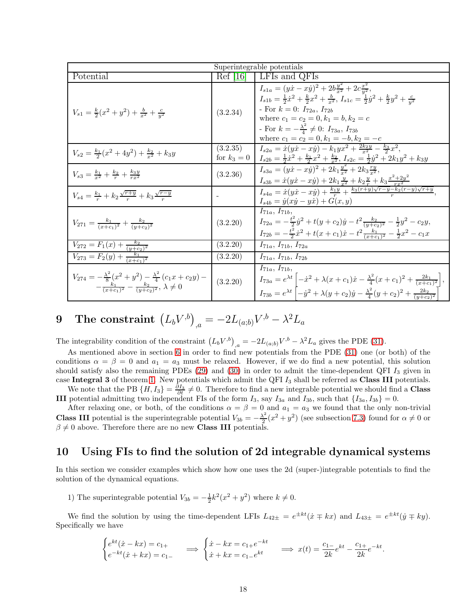| Superintegrable potentials                                                                                                                     |                         |                                                                                                                                                                                                                                                                                                                                                                                                                        |  |  |  |
|------------------------------------------------------------------------------------------------------------------------------------------------|-------------------------|------------------------------------------------------------------------------------------------------------------------------------------------------------------------------------------------------------------------------------------------------------------------------------------------------------------------------------------------------------------------------------------------------------------------|--|--|--|
| Potential                                                                                                                                      | Ref [16]                | LFIs and QFIs                                                                                                                                                                                                                                                                                                                                                                                                          |  |  |  |
| $V_{s1} = \frac{k}{2}(x^2 + y^2) + \frac{b}{r^2} + \frac{c}{u^2}$                                                                              | (3.2.34)                | $I_{s1a} = (y\dot{x} - x\dot{y})^2 + 2b\frac{y^2}{r^2} + 2c\frac{x^2}{r^2},$<br>$I_{s1b} = \frac{1}{2}\dot{x}^2 + \frac{k}{2}x^2 + \frac{b}{x^2}$ , $I_{s1c} = \frac{1}{2}\dot{y}^2 + \frac{k}{2}y^2 + \frac{c}{y^2}$<br>- For $k = 0$ : $I_{72a}$ , $I_{72b}$<br>where $c_1 = c_2 = 0, k_1 = b, k_2 = c$<br>- For $k=-\frac{\lambda^2}{4}\neq 0$ : $I_{73a}$ , $I_{73b}$<br>where $c_1 = c_2 = 0, k_1 = -b, k_2 = -c$ |  |  |  |
| $V_{s2} = \frac{k_1}{2}(x^2+4y^2)+\frac{k_2}{r^2}+k_3y$                                                                                        | (3.2.35)<br>for $k_3=0$ | $I_{s2a} = \dot{x}(y\dot{x} - x\dot{y}) - k_1yx^2 + \frac{2k_2y}{x^2} - \frac{k_3}{2}x^2,$<br>$I_{s2b} = \frac{1}{2}\dot{x}^2 + \frac{k_1}{2}x^2 + \frac{k_2}{x^2}, I_{s2c} = \frac{1}{2}\dot{y}^2 + 2k_1y^2 + k_3y$                                                                                                                                                                                                   |  |  |  |
| $V_{s3} = \frac{k_1}{r^2} + \frac{k_2}{r} + \frac{k_3y}{rr^2}$                                                                                 | (3.2.36)                | $I_{s3a} = (y\dot{x} - x\dot{y})^2 + 2k_1\frac{y^2}{x^2} + 2k_3\frac{ry}{x^2},$<br>$I_{s3b} = \dot{x}(y\dot{x} - x\dot{y}) + 2k_1\frac{y}{r^2} + k_2\frac{y}{r} + k_3\frac{x^2 + 2y^2}{r^2}$                                                                                                                                                                                                                           |  |  |  |
| $V_{s4} = \frac{k_1}{r} + k_2 \frac{\sqrt{r+y}}{r} + k_3 \frac{\sqrt{r-y}}{r}$                                                                 |                         | $I_{s4a} = \dot{x}(y\dot{x} - x\dot{y}) + \frac{k_1y}{r} + \frac{k_3(r+y)\sqrt{r-y-k_2}(r-y)\sqrt{r+y}}{r}$<br>$I_{s4b} = \dot{y}(x\dot{y} - y\dot{x}) + G(x, y)$                                                                                                                                                                                                                                                      |  |  |  |
| $V_{271} = \frac{k_1}{(x+c_1)^2} + \frac{k_2}{(y+c_2)^2}$                                                                                      | (3.2.20)                | $I_{71a}, I_{71b},$<br>$I_{72a} = -\frac{t^2}{2}\dot{y}^2 + t(y+c_2)\dot{y} - t^2\frac{k_2}{(y+c_2)^2} - \frac{1}{2}y^2 - c_2y,$<br>$I_{72b} = -\frac{t^2}{2}\dot{x}^2 + t(x+c_1)\dot{x} - t^2\frac{k_1}{(x+c_1)^2} - \frac{1}{2}x^2 - c_1x$                                                                                                                                                                           |  |  |  |
| $V_{272} = F_1(x) + \frac{k_2}{(y+c_2)^2}$                                                                                                     | (3.2.20)                | $I_{71a}, I_{71b}, I_{72a}$                                                                                                                                                                                                                                                                                                                                                                                            |  |  |  |
| $V_{273} = F_2(y) + \frac{k_1}{(x+c_1)^2}$                                                                                                     | (3.2.20)                | $I_{71a}, I_{71b}, I_{72b}$                                                                                                                                                                                                                                                                                                                                                                                            |  |  |  |
| $V_{274} = -\frac{\lambda^2}{8}(x^2+y^2) - \frac{\lambda^2}{4}(c_1x+c_2y) -$<br>$-\frac{k_1}{(x+c_1)^2}-\frac{k_2}{(y+c_2)^2}, \lambda \neq 0$ | (3.2.20)                | $I_{71a}, I_{71b},$<br>$I_{73a} = e^{\lambda t} \left[ -\dot{x}^2 + \lambda (x+c_1)\dot{x} - \frac{\lambda^2}{4}(x+c_1)^2 + \frac{2k_1}{(x+c_1)^2} \right],$<br>$I_{73b}=e^{\lambda t}\left[-\dot{y}^2+\lambda(y+c_2)\dot{y}-\frac{\lambda^2}{4}(y+c_2)^2+\frac{2k_2}{(y+c_2)^2}\right]$                                                                                                                               |  |  |  |

**9** The constraint 
$$
(L_b V^{,b})_{,a} = -2L_{(a;b)}V^{,b} - \lambda^2 L_a
$$

The integrability condition of the constraint  $(L_b V^{b})_{,a} = -2L_{(a;b)}V^{b} - \lambda^2 L_a$  gives the PDE [\(31\)](#page-7-0).

As mentioned above in section [6](#page-6-7) in order to find new potentials from the PDE [\(31\)](#page-7-0) one (or both) of the conditions  $\alpha = \beta = 0$  and  $a_1 = a_3$  must be relaxed. However, if we do find a new potential, this solution should satisfy also the remaining PDEs  $(29)$  and  $(30)$  in order to admit the time-dependent QFI  $I_3$  given in case Integral 3 of theorem [1.](#page-4-0) New potentials which admit the QFI  $I_3$  shall be referred as Class III potentials. We note that the PB  $\{H, I_3\} = \frac{\partial I_3}{\partial t} \neq 0$ . Therefore to find a new integrable potential we should find a **Class** 

**III** potential admitting two independent FIs of the form  $I_3$ , say  $I_{3a}$  and  $I_{3b}$ , such that  $\{I_{3a}, I_{3b}\} = 0$ . After relaxing one, or both, of the conditions  $\alpha = \beta = 0$  and  $a_1 = a_3$  we found that the only non-trivial

**Class III** potential is the superintegrable potential  $V_{3b} = -\frac{\lambda^2}{2}$  $\frac{\lambda^2}{2}(x^2+y^2)$  (see subsection [7.3\)](#page-8-0) found for  $\alpha \neq 0$  or  $\beta \neq 0$  above. Therefore there are no new **Class III** potentials.

### 10 Using FIs to find the solution of 2d integrable dynamical systems

In this section we consider examples which show how one uses the 2d (super-)integrable potentials to find the solution of the dynamical equations.

1) The superintegrable potential  $V_{3b} = -\frac{1}{2}k^2(x^2 + y^2)$  where  $k \neq 0$ .

We find the solution by using the time-dependent LFIs  $L_{42\pm} = e^{\pm kt}(\dot{x} \mp kx)$  and  $L_{43\pm} = e^{\pm kt}(\dot{y} \mp ky)$ . Specifically we have

$$
\begin{cases} e^{kt}(\dot{x} - kx) = c_{1+} \\ e^{-kt}(\dot{x} + kx) = c_{1-} \end{cases} \implies \begin{cases} \dot{x} - kx = c_{1+}e^{-kt} \\ \dot{x} + kx = c_{1-}e^{kt} \end{cases} \implies x(t) = \frac{c_{1-}}{2k}e^{kt} - \frac{c_{1+}}{2k}e^{-kt}.
$$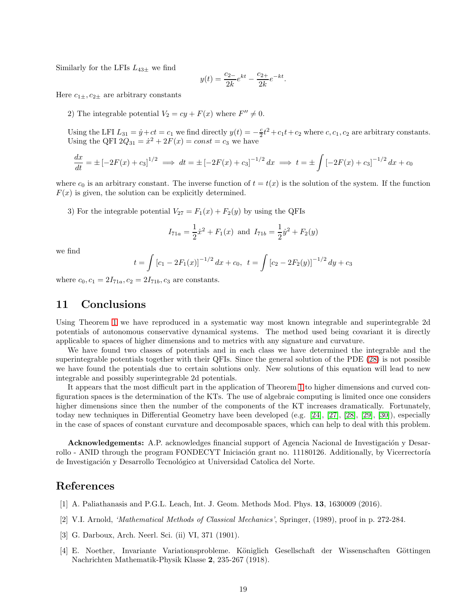Similarly for the LFIs  $L_{43\pm}$  we find

$$
y(t) = \frac{c_{2-}}{2k}e^{kt} - \frac{c_{2+}}{2k}e^{-kt}.
$$

Here  $c_{1\pm}$ ,  $c_{2\pm}$  are arbitrary constants

2) The integrable potential  $V_2 = cy + F(x)$  where  $F'' \neq 0$ .

Using the LFI  $L_{31} = \dot{y} + ct = c_1$  we find directly  $y(t) = -\frac{c}{2}t^2 + c_1t + c_2$  where  $c, c_1, c_2$  are arbitrary constants. Using the QFI  $2Q_{31} = \dot{x}^2 + 2F(x) = const = c_3$  we have

$$
\frac{dx}{dt} = \pm \left[ -2F(x) + c_3 \right]^{1/2} \implies dt = \pm \left[ -2F(x) + c_3 \right]^{-1/2} dx \implies t = \pm \int \left[ -2F(x) + c_3 \right]^{-1/2} dx + c_0
$$

where  $c_0$  is an arbitrary constant. The inverse function of  $t = t(x)$  is the solution of the system. If the function  $F(x)$  is given, the solution can be explicitly determined.

3) For the integrable potential  $V_{27} = F_1(x) + F_2(y)$  by using the QFIs

$$
I_{71a} = \frac{1}{2}\dot{x}^2 + F_1(x)
$$
 and  $I_{71b} = \frac{1}{2}\dot{y}^2 + F_2(y)$ 

we find

$$
t = \int \left[c_1 - 2F_1(x)\right]^{-1/2} dx + c_0, \ \ t = \int \left[c_2 - 2F_2(y)\right]^{-1/2} dy + c_3
$$

where  $c_0, c_1 = 2I_{71a}, c_2 = 2I_{71b}, c_3$  are constants.

## 11 Conclusions

Using Theorem [1](#page-4-0) we have reproduced in a systematic way most known integrable and superintegrable 2d potentials of autonomous conservative dynamical systems. The method used being covariant it is directly applicable to spaces of higher dimensions and to metrics with any signature and curvature.

We have found two classes of potentials and in each class we have determined the integrable and the superintegrable potentials together with their QFIs. Since the general solution of the PDE [\(28\)](#page-6-4) is not possible we have found the potentials due to certain solutions only. New solutions of this equation will lead to new integrable and possibly superintegrable 2d potentials.

It appears that the most difficult part in the application of Theorem [1](#page-4-0) to higher dimensions and curved configuration spaces is the determination of the KTs. The use of algebraic computing is limited once one considers higher dimensions since then the number of the components of the KT increases dramatically. Fortunately, today new techniques in Differential Geometry have been developed (e.g. [24], [27], [28], [29], [30]), especially in the case of spaces of constant curvature and decomposable spaces, which can help to deal with this problem.

Acknowledgements: A.P. acknowledges financial support of Agencia Nacional de Investigación y Desarrollo - ANID through the program FONDECYT Iniciación grant no. 11180126. Additionally, by Vicerrectoría de Investigación y Desarrollo Tecnológico at Universidad Catolica del Norte.

## <span id="page-18-0"></span>References

- [1] A. Paliathanasis and P.G.L. Leach, Int. J. Geom. Methods Mod. Phys. 13, 1630009 (2016).
- [2] V.I. Arnold, 'Mathematical Methods of Classical Mechanics', Springer, (1989), proof in p. 272-284.
- [3] G. Darboux, Arch. Neerl. Sci. (ii) VI, 371 (1901).
- [4] E. Noether, Invariante Variationsprobleme. Königlich Gesellschaft der Wissenschaften Göttingen Nachrichten Mathematik-Physik Klasse 2, 235-267 (1918).